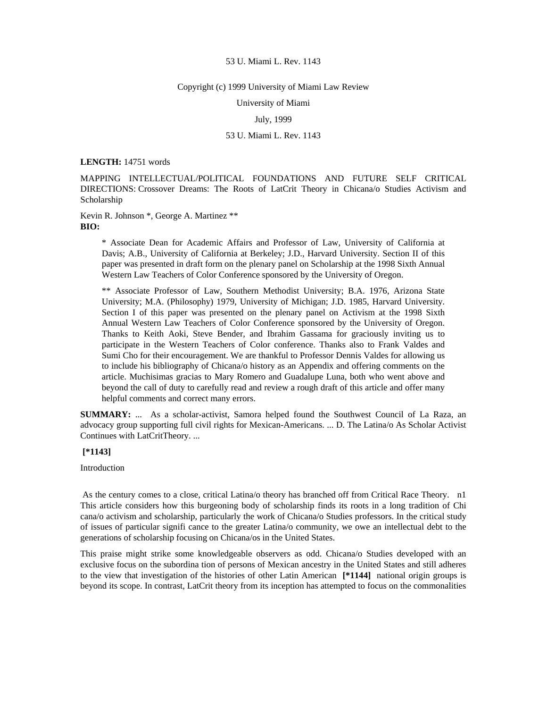#### Copyright (c) 1999 University of Miami Law Review

University of Miami

# July, 1999

# 53 U. Miami L. Rev. 1143

#### **LENGTH:** 14751 words

MAPPING INTELLECTUAL/POLITICAL FOUNDATIONS AND FUTURE SELF CRITICAL DIRECTIONS: Crossover Dreams: The Roots of LatCrit Theory in Chicana/o Studies Activism and Scholarship

Kevin R. Johnson \*, George A. Martinez \*\* **BIO:** 

> \* Associate Dean for Academic Affairs and Professor of Law, University of California at Davis; A.B., University of California at Berkeley; J.D., Harvard University. Section II of this paper was presented in draft form on the plenary panel on Scholarship at the 1998 Sixth Annual Western Law Teachers of Color Conference sponsored by the University of Oregon.

> \*\* Associate Professor of Law, Southern Methodist University; B.A. 1976, Arizona State University; M.A. (Philosophy) 1979, University of Michigan; J.D. 1985, Harvard University. Section I of this paper was presented on the plenary panel on Activism at the 1998 Sixth Annual Western Law Teachers of Color Conference sponsored by the University of Oregon. Thanks to Keith Aoki, Steve Bender, and Ibrahim Gassama for graciously inviting us to participate in the Western Teachers of Color conference. Thanks also to Frank Valdes and Sumi Cho for their encouragement. We are thankful to Professor Dennis Valdes for allowing us to include his bibliography of Chicana/o history as an Appendix and offering comments on the article. Muchisimas gracias to Mary Romero and Guadalupe Luna, both who went above and beyond the call of duty to carefully read and review a rough draft of this article and offer many helpful comments and correct many errors.

**SUMMARY:** ... As a scholar-activist, Samora helped found the Southwest Council of La Raza, an advocacy group supporting full civil rights for Mexican-Americans. ... D. The Latina/o As Scholar Activist Continues with LatCritTheory. ...

# **[\*1143]**

# Introduction

 As the century comes to a close, critical Latina/o theory has branched off from Critical Race Theory. n1 This article considers how this burgeoning body of scholarship finds its roots in a long tradition of Chi cana/o activism and scholarship, particularly the work of Chicana/o Studies professors. In the critical study of issues of particular signifi cance to the greater Latina/o community, we owe an intellectual debt to the generations of scholarship focusing on Chicana/os in the United States.

This praise might strike some knowledgeable observers as odd. Chicana/o Studies developed with an exclusive focus on the subordina tion of persons of Mexican ancestry in the United States and still adheres to the view that investigation of the histories of other Latin American **[\*1144]** national origin groups is beyond its scope. In contrast, LatCrit theory from its inception has attempted to focus on the commonalities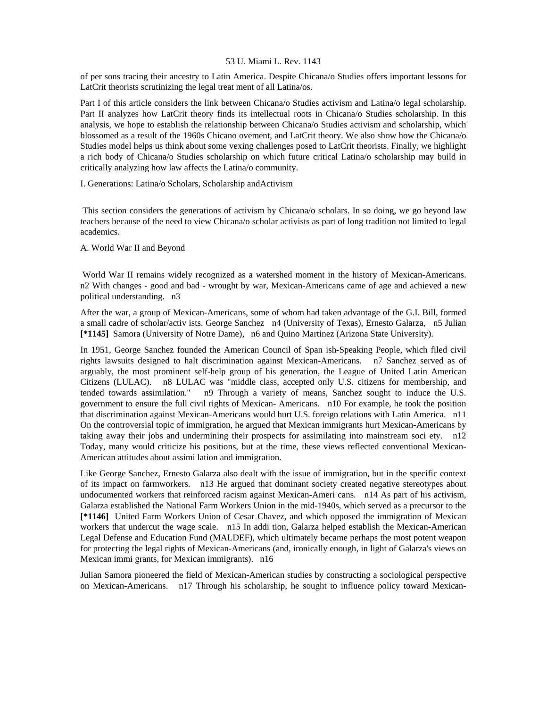of per sons tracing their ancestry to Latin America. Despite Chicana/o Studies offers important lessons for LatCrit theorists scrutinizing the legal treat ment of all Latina/os.

Part I of this article considers the link between Chicana/o Studies activism and Latina/o legal scholarship. Part II analyzes how LatCrit theory finds its intellectual roots in Chicana/o Studies scholarship. In this analysis, we hope to establish the relationship between Chicana/o Studies activism and scholarship, which blossomed as a result of the 1960s Chicano ovement, and LatCrit theory. We also show how the Chicana/o Studies model helps us think about some vexing challenges posed to LatCrit theorists. Finally, we highlight a rich body of Chicana/o Studies scholarship on which future critical Latina/o scholarship may build in critically analyzing how law affects the Latina/o community.

I. Generations: Latina/o Scholars, Scholarship andActivism

 This section considers the generations of activism by Chicana/o scholars. In so doing, we go beyond law teachers because of the need to view Chicana/o scholar activists as part of long tradition not limited to legal academics.

# A. World War II and Beyond

 World War II remains widely recognized as a watershed moment in the history of Mexican-Americans. n2 With changes - good and bad - wrought by war, Mexican-Americans came of age and achieved a new political understanding. n3

After the war, a group of Mexican-Americans, some of whom had taken advantage of the G.I. Bill, formed a small cadre of scholar/activ ists. George Sanchez n4 (University of Texas), Ernesto Galarza, n5 Julian **[\*1145]** Samora (University of Notre Dame), n6 and Quino Martinez (Arizona State University).

In 1951, George Sanchez founded the American Council of Span ish-Speaking People, which filed civil rights lawsuits designed to halt discrimination against Mexican-Americans. n7 Sanchez served as of arguably, the most prominent self-help group of his generation, the League of United Latin American Citizens (LULAC). n8 LULAC was "middle class, accepted only U.S. citizens for membership, and tended towards assimilation." n9 Through a variety of means, Sanchez sought to induce the U.S. government to ensure the full civil rights of Mexican- Americans. n10 For example, he took the position that discrimination against Mexican-Americans would hurt U.S. foreign relations with Latin America. n11 On the controversial topic of immigration, he argued that Mexican immigrants hurt Mexican-Americans by taking away their jobs and undermining their prospects for assimilating into mainstream soci ety. n12 Today, many would criticize his positions, but at the time, these views reflected conventional Mexican-American attitudes about assimi lation and immigration.

Like George Sanchez, Ernesto Galarza also dealt with the issue of immigration, but in the specific context of its impact on farmworkers. n13 He argued that dominant society created negative stereotypes about undocumented workers that reinforced racism against Mexican-Ameri cans. n14 As part of his activism, Galarza established the National Farm Workers Union in the mid-1940s, which served as a precursor to the **[\*1146]** United Farm Workers Union of Cesar Chavez, and which opposed the immigration of Mexican workers that undercut the wage scale. n15 In addi tion, Galarza helped establish the Mexican-American Legal Defense and Education Fund (MALDEF), which ultimately became perhaps the most potent weapon for protecting the legal rights of Mexican-Americans (and, ironically enough, in light of Galarza's views on Mexican immi grants, for Mexican immigrants). n16

Julian Samora pioneered the field of Mexican-American studies by constructing a sociological perspective on Mexican-Americans. n17 Through his scholarship, he sought to influence policy toward Mexican-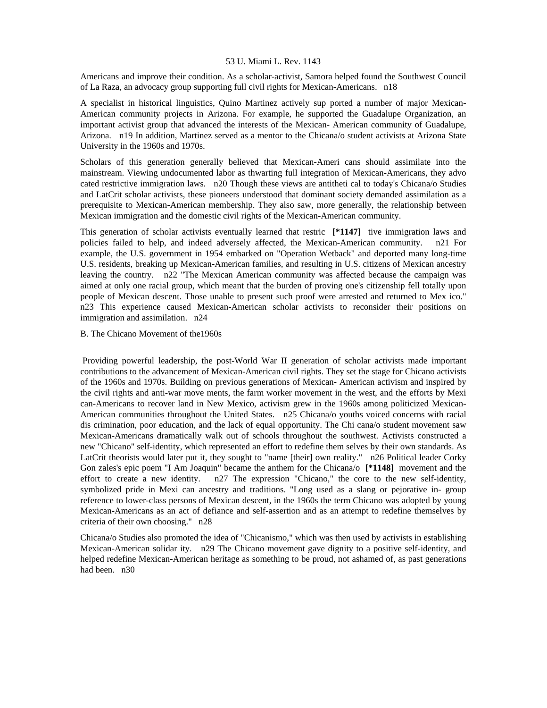Americans and improve their condition. As a scholar-activist, Samora helped found the Southwest Council of La Raza, an advocacy group supporting full civil rights for Mexican-Americans. n18

A specialist in historical linguistics, Quino Martinez actively sup ported a number of major Mexican-American community projects in Arizona. For example, he supported the Guadalupe Organization, an important activist group that advanced the interests of the Mexican- American community of Guadalupe, Arizona. n19 In addition, Martinez served as a mentor to the Chicana/o student activists at Arizona State University in the 1960s and 1970s.

Scholars of this generation generally believed that Mexican-Ameri cans should assimilate into the mainstream. Viewing undocumented labor as thwarting full integration of Mexican-Americans, they advo cated restrictive immigration laws. n20 Though these views are antitheti cal to today's Chicana/o Studies and LatCrit scholar activists, these pioneers understood that dominant society demanded assimilation as a prerequisite to Mexican-American membership. They also saw, more generally, the relationship between Mexican immigration and the domestic civil rights of the Mexican-American community.

This generation of scholar activists eventually learned that restric **[\*1147]** tive immigration laws and policies failed to help, and indeed adversely affected, the Mexican-American community. n21 For example, the U.S. government in 1954 embarked on "Operation Wetback" and deported many long-time U.S. residents, breaking up Mexican-American families, and resulting in U.S. citizens of Mexican ancestry leaving the country. n22 "The Mexican American community was affected because the campaign was aimed at only one racial group, which meant that the burden of proving one's citizenship fell totally upon people of Mexican descent. Those unable to present such proof were arrested and returned to Mex ico." n23 This experience caused Mexican-American scholar activists to reconsider their positions on immigration and assimilation. n24

# B. The Chicano Movement of the1960s

 Providing powerful leadership, the post-World War II generation of scholar activists made important contributions to the advancement of Mexican-American civil rights. They set the stage for Chicano activists of the 1960s and 1970s. Building on previous generations of Mexican- American activism and inspired by the civil rights and anti-war move ments, the farm worker movement in the west, and the efforts by Mexi can-Americans to recover land in New Mexico, activism grew in the 1960s among politicized Mexican-American communities throughout the United States. n25 Chicana/o youths voiced concerns with racial dis crimination, poor education, and the lack of equal opportunity. The Chi cana/o student movement saw Mexican-Americans dramatically walk out of schools throughout the southwest. Activists constructed a new "Chicano" self-identity, which represented an effort to redefine them selves by their own standards. As LatCrit theorists would later put it, they sought to "name [their] own reality." n26 Political leader Corky Gon zales's epic poem "I Am Joaquin" became the anthem for the Chicana/o **[\*1148]** movement and the effort to create a new identity. n27 The expression "Chicano," the core to the new self-identity, symbolized pride in Mexi can ancestry and traditions. "Long used as a slang or pejorative in- group reference to lower-class persons of Mexican descent, in the 1960s the term Chicano was adopted by young Mexican-Americans as an act of defiance and self-assertion and as an attempt to redefine themselves by criteria of their own choosing." n28

Chicana/o Studies also promoted the idea of "Chicanismo," which was then used by activists in establishing Mexican-American solidar ity. n29 The Chicano movement gave dignity to a positive self-identity, and helped redefine Mexican-American heritage as something to be proud, not ashamed of, as past generations had been. n30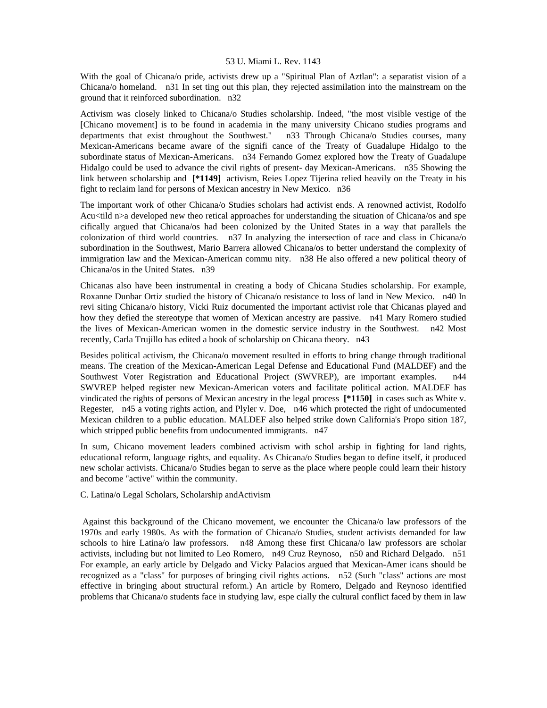With the goal of Chicana/o pride, activists drew up a "Spiritual Plan of Aztlan": a separatist vision of a Chicana/o homeland. n31 In set ting out this plan, they rejected assimilation into the mainstream on the ground that it reinforced subordination. n32

Activism was closely linked to Chicana/o Studies scholarship. Indeed, "the most visible vestige of the [Chicano movement] is to be found in academia in the many university Chicano studies programs and departments that exist throughout the Southwest." n33 Through Chicana/o Studies courses, many Mexican-Americans became aware of the signifi cance of the Treaty of Guadalupe Hidalgo to the subordinate status of Mexican-Americans. n34 Fernando Gomez explored how the Treaty of Guadalupe Hidalgo could be used to advance the civil rights of present- day Mexican-Americans. n35 Showing the link between scholarship and **[\*1149]** activism, Reies Lopez Tijerina relied heavily on the Treaty in his fight to reclaim land for persons of Mexican ancestry in New Mexico. n36

The important work of other Chicana/o Studies scholars had activist ends. A renowned activist, Rodolfo Acu<tild n>a developed new theo retical approaches for understanding the situation of Chicana/os and spe cifically argued that Chicana/os had been colonized by the United States in a way that parallels the colonization of third world countries. n37 In analyzing the intersection of race and class in Chicana/o subordination in the Southwest, Mario Barrera allowed Chicana/os to better understand the complexity of immigration law and the Mexican-American commu nity. n38 He also offered a new political theory of Chicana/os in the United States. n39

Chicanas also have been instrumental in creating a body of Chicana Studies scholarship. For example, Roxanne Dunbar Ortiz studied the history of Chicana/o resistance to loss of land in New Mexico. n40 In revi siting Chicana/o history, Vicki Ruiz documented the important activist role that Chicanas played and how they defied the stereotype that women of Mexican ancestry are passive. n41 Mary Romero studied the lives of Mexican-American women in the domestic service industry in the Southwest. n42 Most recently, Carla Trujillo has edited a book of scholarship on Chicana theory. n43

Besides political activism, the Chicana/o movement resulted in efforts to bring change through traditional means. The creation of the Mexican-American Legal Defense and Educational Fund (MALDEF) and the Southwest Voter Registration and Educational Project (SWVREP), are important examples. n44 SWVREP helped register new Mexican-American voters and facilitate political action. MALDEF has vindicated the rights of persons of Mexican ancestry in the legal process **[\*1150]** in cases such as White v. Regester, n45 a voting rights action, and Plyler v. Doe, n46 which protected the right of undocumented Mexican children to a public education. MALDEF also helped strike down California's Propo sition 187, which stripped public benefits from undocumented immigrants. n47

In sum, Chicano movement leaders combined activism with schol arship in fighting for land rights, educational reform, language rights, and equality. As Chicana/o Studies began to define itself, it produced new scholar activists. Chicana/o Studies began to serve as the place where people could learn their history and become "active" within the community.

C. Latina/o Legal Scholars, Scholarship andActivism

 Against this background of the Chicano movement, we encounter the Chicana/o law professors of the 1970s and early 1980s. As with the formation of Chicana/o Studies, student activists demanded for law schools to hire Latina/o law professors. n48 Among these first Chicana/o law professors are scholar activists, including but not limited to Leo Romero, n49 Cruz Reynoso, n50 and Richard Delgado. n51 For example, an early article by Delgado and Vicky Palacios argued that Mexican-Amer icans should be recognized as a "class" for purposes of bringing civil rights actions. n52 (Such "class" actions are most effective in bringing about structural reform.) An article by Romero, Delgado and Reynoso identified problems that Chicana/o students face in studying law, espe cially the cultural conflict faced by them in law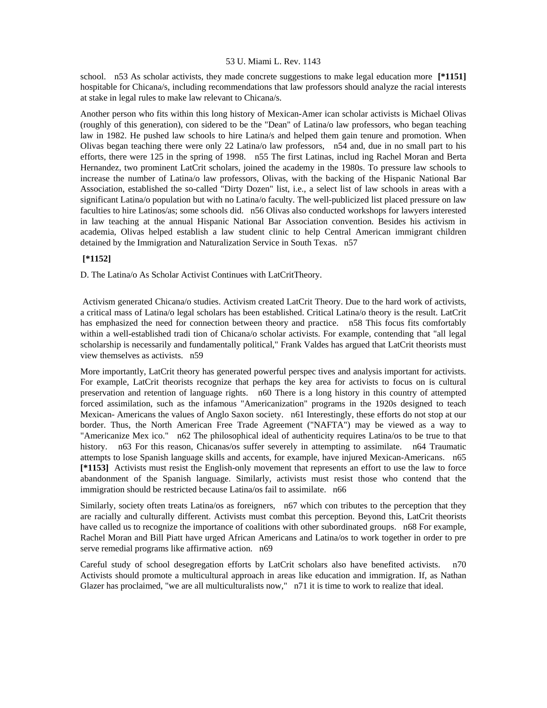school. n53 As scholar activists, they made concrete suggestions to make legal education more **[\*1151]**  hospitable for Chicana/s, including recommendations that law professors should analyze the racial interests at stake in legal rules to make law relevant to Chicana/s.

Another person who fits within this long history of Mexican-Amer ican scholar activists is Michael Olivas (roughly of this generation), con sidered to be the "Dean" of Latina/o law professors, who began teaching law in 1982. He pushed law schools to hire Latina/s and helped them gain tenure and promotion. When Olivas began teaching there were only 22 Latina/o law professors, n54 and, due in no small part to his efforts, there were 125 in the spring of 1998. n55 The first Latinas, includ ing Rachel Moran and Berta Hernandez, two prominent LatCrit scholars, joined the academy in the 1980s. To pressure law schools to increase the number of Latina/o law professors, Olivas, with the backing of the Hispanic National Bar Association, established the so-called "Dirty Dozen" list, i.e., a select list of law schools in areas with a significant Latina/o population but with no Latina/o faculty. The well-publicized list placed pressure on law faculties to hire Latinos/as; some schools did. n56 Olivas also conducted workshops for lawyers interested in law teaching at the annual Hispanic National Bar Association convention. Besides his activism in academia, Olivas helped establish a law student clinic to help Central American immigrant children detained by the Immigration and Naturalization Service in South Texas. n57

# **[\*1152]**

D. The Latina/o As Scholar Activist Continues with LatCritTheory.

 Activism generated Chicana/o studies. Activism created LatCrit Theory. Due to the hard work of activists, a critical mass of Latina/o legal scholars has been established. Critical Latina/o theory is the result. LatCrit has emphasized the need for connection between theory and practice. n58 This focus fits comfortably within a well-established tradi tion of Chicana/o scholar activists. For example, contending that "all legal scholarship is necessarily and fundamentally political," Frank Valdes has argued that LatCrit theorists must view themselves as activists. n59

More importantly, LatCrit theory has generated powerful perspec tives and analysis important for activists. For example, LatCrit theorists recognize that perhaps the key area for activists to focus on is cultural preservation and retention of language rights. n60 There is a long history in this country of attempted forced assimilation, such as the infamous "Americanization" programs in the 1920s designed to teach Mexican- Americans the values of Anglo Saxon society. n61 Interestingly, these efforts do not stop at our border. Thus, the North American Free Trade Agreement ("NAFTA") may be viewed as a way to "Americanize Mex ico." n62 The philosophical ideal of authenticity requires Latina/os to be true to that history. n63 For this reason, Chicanas/os suffer severely in attempting to assimilate. n64 Traumatic attempts to lose Spanish language skills and accents, for example, have injured Mexican-Americans. n65 **[\*1153]** Activists must resist the English-only movement that represents an effort to use the law to force abandonment of the Spanish language. Similarly, activists must resist those who contend that the immigration should be restricted because Latina/os fail to assimilate. n66

Similarly, society often treats Latina/os as foreigners, n67 which con tributes to the perception that they are racially and culturally different. Activists must combat this perception. Beyond this, LatCrit theorists have called us to recognize the importance of coalitions with other subordinated groups. n68 For example, Rachel Moran and Bill Piatt have urged African Americans and Latina/os to work together in order to pre serve remedial programs like affirmative action. n69

Careful study of school desegregation efforts by LatCrit scholars also have benefited activists. n70 Activists should promote a multicultural approach in areas like education and immigration. If, as Nathan Glazer has proclaimed, "we are all multiculturalists now," n71 it is time to work to realize that ideal.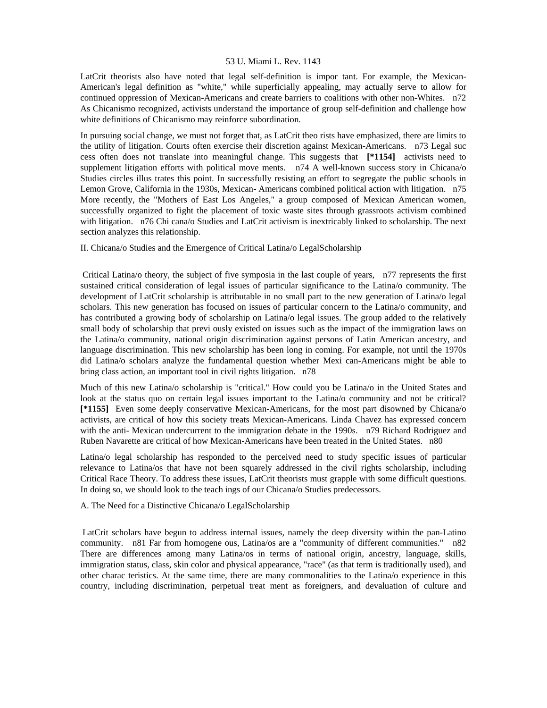LatCrit theorists also have noted that legal self-definition is impor tant. For example, the Mexican-American's legal definition as "white," while superficially appealing, may actually serve to allow for continued oppression of Mexican-Americans and create barriers to coalitions with other non-Whites. n72 As Chicanismo recognized, activists understand the importance of group self-definition and challenge how white definitions of Chicanismo may reinforce subordination.

In pursuing social change, we must not forget that, as LatCrit theo rists have emphasized, there are limits to the utility of litigation. Courts often exercise their discretion against Mexican-Americans. n73 Legal suc cess often does not translate into meaningful change. This suggests that **[\*1154]** activists need to supplement litigation efforts with political move ments. n74 A well-known success story in Chicana/o Studies circles illus trates this point. In successfully resisting an effort to segregate the public schools in Lemon Grove, California in the 1930s, Mexican- Americans combined political action with litigation. n75 More recently, the "Mothers of East Los Angeles," a group composed of Mexican American women, successfully organized to fight the placement of toxic waste sites through grassroots activism combined with litigation. n76 Chi cana/o Studies and LatCrit activism is inextricably linked to scholarship. The next section analyzes this relationship.

II. Chicana/o Studies and the Emergence of Critical Latina/o LegalScholarship

 Critical Latina/o theory, the subject of five symposia in the last couple of years, n77 represents the first sustained critical consideration of legal issues of particular significance to the Latina/o community. The development of LatCrit scholarship is attributable in no small part to the new generation of Latina/o legal scholars. This new generation has focused on issues of particular concern to the Latina/o community, and has contributed a growing body of scholarship on Latina/o legal issues. The group added to the relatively small body of scholarship that previ ously existed on issues such as the impact of the immigration laws on the Latina/o community, national origin discrimination against persons of Latin American ancestry, and language discrimination. This new scholarship has been long in coming. For example, not until the 1970s did Latina/o scholars analyze the fundamental question whether Mexi can-Americans might be able to bring class action, an important tool in civil rights litigation. n78

Much of this new Latina/o scholarship is "critical." How could you be Latina/o in the United States and look at the status quo on certain legal issues important to the Latina/o community and not be critical? **[\*1155]** Even some deeply conservative Mexican-Americans, for the most part disowned by Chicana/o activists, are critical of how this society treats Mexican-Americans. Linda Chavez has expressed concern with the anti- Mexican undercurrent to the immigration debate in the 1990s. n79 Richard Rodriguez and Ruben Navarette are critical of how Mexican-Americans have been treated in the United States. n80

Latina/o legal scholarship has responded to the perceived need to study specific issues of particular relevance to Latina/os that have not been squarely addressed in the civil rights scholarship, including Critical Race Theory. To address these issues, LatCrit theorists must grapple with some difficult questions. In doing so, we should look to the teach ings of our Chicana/o Studies predecessors.

A. The Need for a Distinctive Chicana/o LegalScholarship

 LatCrit scholars have begun to address internal issues, namely the deep diversity within the pan-Latino community. n81 Far from homogene ous, Latina/os are a "community of different communities." n82 There are differences among many Latina/os in terms of national origin, ancestry, language, skills, immigration status, class, skin color and physical appearance, "race" (as that term is traditionally used), and other charac teristics. At the same time, there are many commonalities to the Latina/o experience in this country, including discrimination, perpetual treat ment as foreigners, and devaluation of culture and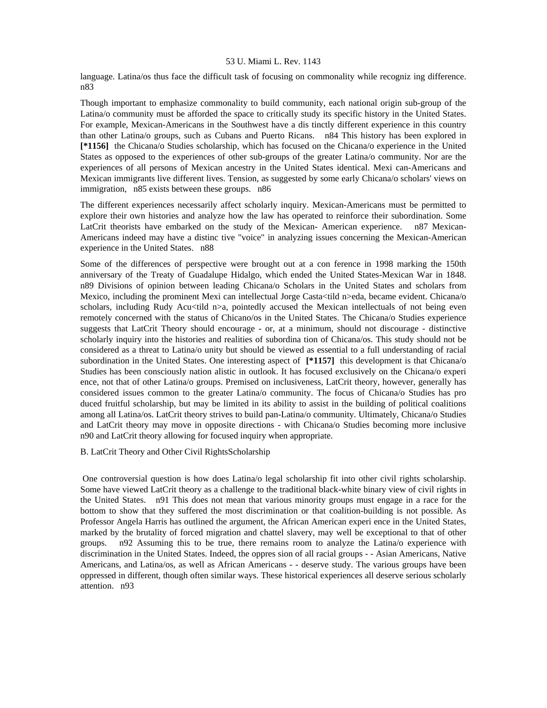language. Latina/os thus face the difficult task of focusing on commonality while recogniz ing difference. n83

Though important to emphasize commonality to build community, each national origin sub-group of the Latina/o community must be afforded the space to critically study its specific history in the United States. For example, Mexican-Americans in the Southwest have a dis tinctly different experience in this country than other Latina/o groups, such as Cubans and Puerto Ricans. n84 This history has been explored in **[\*1156]** the Chicana/o Studies scholarship, which has focused on the Chicana/o experience in the United States as opposed to the experiences of other sub-groups of the greater Latina/o community. Nor are the experiences of all persons of Mexican ancestry in the United States identical. Mexi can-Americans and Mexican immigrants live different lives. Tension, as suggested by some early Chicana/o scholars' views on immigration, n85 exists between these groups. n86

The different experiences necessarily affect scholarly inquiry. Mexican-Americans must be permitted to explore their own histories and analyze how the law has operated to reinforce their subordination. Some LatCrit theorists have embarked on the study of the Mexican- American experience. n87 Mexican-Americans indeed may have a distinc tive "voice" in analyzing issues concerning the Mexican-American experience in the United States. n88

Some of the differences of perspective were brought out at a con ference in 1998 marking the 150th anniversary of the Treaty of Guadalupe Hidalgo, which ended the United States-Mexican War in 1848. n89 Divisions of opinion between leading Chicana/o Scholars in the United States and scholars from Mexico, including the prominent Mexi can intellectual Jorge Casta<tild n>eda, became evident. Chicana/o scholars, including Rudy Acu<tild n>a, pointedly accused the Mexican intellectuals of not being even remotely concerned with the status of Chicano/os in the United States. The Chicana/o Studies experience suggests that LatCrit Theory should encourage - or, at a minimum, should not discourage - distinctive scholarly inquiry into the histories and realities of subordina tion of Chicana/os. This study should not be considered as a threat to Latina/o unity but should be viewed as essential to a full understanding of racial subordination in the United States. One interesting aspect of **[\*1157]** this development is that Chicana/o Studies has been consciously nation alistic in outlook. It has focused exclusively on the Chicana/o experi ence, not that of other Latina/o groups. Premised on inclusiveness, LatCrit theory, however, generally has considered issues common to the greater Latina/o community. The focus of Chicana/o Studies has pro duced fruitful scholarship, but may be limited in its ability to assist in the building of political coalitions among all Latina/os. LatCrit theory strives to build pan-Latina/o community. Ultimately, Chicana/o Studies and LatCrit theory may move in opposite directions - with Chicana/o Studies becoming more inclusive n90 and LatCrit theory allowing for focused inquiry when appropriate.

# B. LatCrit Theory and Other Civil RightsScholarship

 One controversial question is how does Latina/o legal scholarship fit into other civil rights scholarship. Some have viewed LatCrit theory as a challenge to the traditional black-white binary view of civil rights in the United States. n91 This does not mean that various minority groups must engage in a race for the bottom to show that they suffered the most discrimination or that coalition-building is not possible. As Professor Angela Harris has outlined the argument, the African American experi ence in the United States, marked by the brutality of forced migration and chattel slavery, may well be exceptional to that of other groups. n92 Assuming this to be true, there remains room to analyze the Latina/o experience with discrimination in the United States. Indeed, the oppres sion of all racial groups - - Asian Americans, Native Americans, and Latina/os, as well as African Americans - - deserve study. The various groups have been oppressed in different, though often similar ways. These historical experiences all deserve serious scholarly attention. n93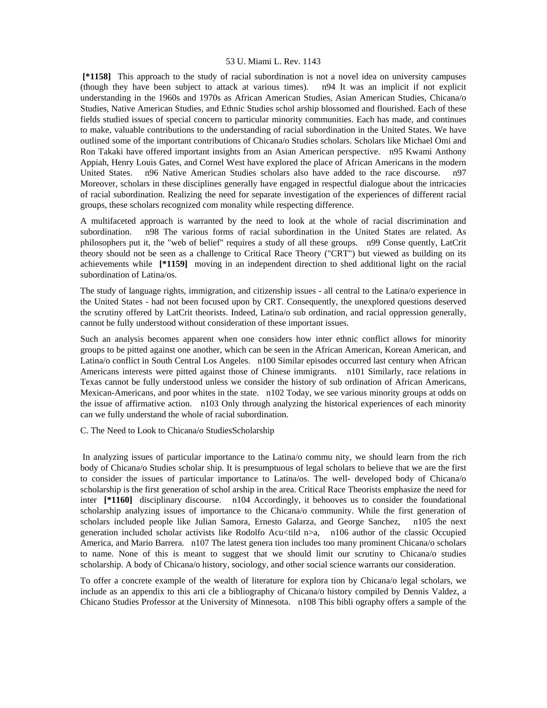**[\*1158]** This approach to the study of racial subordination is not a novel idea on university campuses (though they have been subject to attack at various times). n94 It was an implicit if not explicit understanding in the 1960s and 1970s as African American Studies, Asian American Studies, Chicana/o Studies, Native American Studies, and Ethnic Studies schol arship blossomed and flourished. Each of these fields studied issues of special concern to particular minority communities. Each has made, and continues to make, valuable contributions to the understanding of racial subordination in the United States. We have outlined some of the important contributions of Chicana/o Studies scholars. Scholars like Michael Omi and Ron Takaki have offered important insights from an Asian American perspective. n95 Kwami Anthony Appiah, Henry Louis Gates, and Cornel West have explored the place of African Americans in the modern United States. n96 Native American Studies scholars also have added to the race discourse. n97 Moreover, scholars in these disciplines generally have engaged in respectful dialogue about the intricacies of racial subordination. Realizing the need for separate investigation of the experiences of different racial groups, these scholars recognized com monality while respecting difference.

A multifaceted approach is warranted by the need to look at the whole of racial discrimination and subordination. n98 The various forms of racial subordination in the United States are related. As philosophers put it, the "web of belief" requires a study of all these groups. n99 Conse quently, LatCrit theory should not be seen as a challenge to Critical Race Theory ("CRT") but viewed as building on its achievements while **[\*1159]** moving in an independent direction to shed additional light on the racial subordination of Latina/os.

The study of language rights, immigration, and citizenship issues - all central to the Latina/o experience in the United States - had not been focused upon by CRT. Consequently, the unexplored questions deserved the scrutiny offered by LatCrit theorists. Indeed, Latina/o sub ordination, and racial oppression generally, cannot be fully understood without consideration of these important issues.

Such an analysis becomes apparent when one considers how inter ethnic conflict allows for minority groups to be pitted against one another, which can be seen in the African American, Korean American, and Latina/o conflict in South Central Los Angeles. n100 Similar episodes occurred last century when African Americans interests were pitted against those of Chinese immigrants. n101 Similarly, race relations in Texas cannot be fully understood unless we consider the history of sub ordination of African Americans, Mexican-Americans, and poor whites in the state. n102 Today, we see various minority groups at odds on the issue of affirmative action. n103 Only through analyzing the historical experiences of each minority can we fully understand the whole of racial subordination.

C. The Need to Look to Chicana/o StudiesScholarship

 In analyzing issues of particular importance to the Latina/o commu nity, we should learn from the rich body of Chicana/o Studies scholar ship. It is presumptuous of legal scholars to believe that we are the first to consider the issues of particular importance to Latina/os. The well- developed body of Chicana/o scholarship is the first generation of schol arship in the area. Critical Race Theorists emphasize the need for inter **[\*1160]** disciplinary discourse. n104 Accordingly, it behooves us to consider the foundational scholarship analyzing issues of importance to the Chicana/o community. While the first generation of scholars included people like Julian Samora, Ernesto Galarza, and George Sanchez, n105 the next generation included scholar activists like Rodolfo Acu<tild n>a, n106 author of the classic Occupied America, and Mario Barrera. n107 The latest genera tion includes too many prominent Chicana/o scholars to name. None of this is meant to suggest that we should limit our scrutiny to Chicana/o studies scholarship. A body of Chicana/o history, sociology, and other social science warrants our consideration.

To offer a concrete example of the wealth of literature for explora tion by Chicana/o legal scholars, we include as an appendix to this arti cle a bibliography of Chicana/o history compiled by Dennis Valdez, a Chicano Studies Professor at the University of Minnesota. n108 This bibli ography offers a sample of the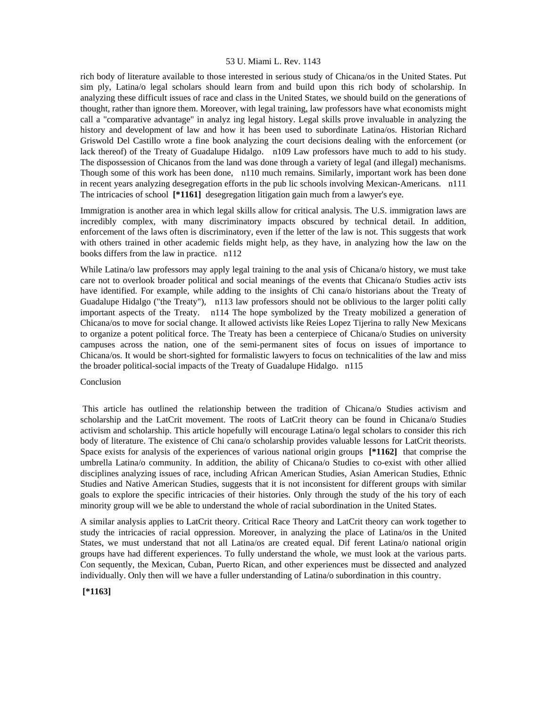rich body of literature available to those interested in serious study of Chicana/os in the United States. Put sim ply, Latina/o legal scholars should learn from and build upon this rich body of scholarship. In analyzing these difficult issues of race and class in the United States, we should build on the generations of thought, rather than ignore them. Moreover, with legal training, law professors have what economists might call a "comparative advantage" in analyz ing legal history. Legal skills prove invaluable in analyzing the history and development of law and how it has been used to subordinate Latina/os. Historian Richard Griswold Del Castillo wrote a fine book analyzing the court decisions dealing with the enforcement (or lack thereof) of the Treaty of Guadalupe Hidalgo. n109 Law professors have much to add to his study. The dispossession of Chicanos from the land was done through a variety of legal (and illegal) mechanisms. Though some of this work has been done, n110 much remains. Similarly, important work has been done in recent years analyzing desegregation efforts in the pub lic schools involving Mexican-Americans. n111 The intricacies of school **[\*1161]** desegregation litigation gain much from a lawyer's eye.

Immigration is another area in which legal skills allow for critical analysis. The U.S. immigration laws are incredibly complex, with many discriminatory impacts obscured by technical detail. In addition, enforcement of the laws often is discriminatory, even if the letter of the law is not. This suggests that work with others trained in other academic fields might help, as they have, in analyzing how the law on the books differs from the law in practice. n112

While Latina/o law professors may apply legal training to the anal ysis of Chicana/o history, we must take care not to overlook broader political and social meanings of the events that Chicana/o Studies activ ists have identified. For example, while adding to the insights of Chi cana/o historians about the Treaty of Guadalupe Hidalgo ("the Treaty"), n113 law professors should not be oblivious to the larger politi cally important aspects of the Treaty. n114 The hope symbolized by the Treaty mobilized a generation of Chicana/os to move for social change. It allowed activists like Reies Lopez Tijerina to rally New Mexicans to organize a potent political force. The Treaty has been a centerpiece of Chicana/o Studies on university campuses across the nation, one of the semi-permanent sites of focus on issues of importance to Chicana/os. It would be short-sighted for formalistic lawyers to focus on technicalities of the law and miss the broader political-social impacts of the Treaty of Guadalupe Hidalgo. n115

#### Conclusion

 This article has outlined the relationship between the tradition of Chicana/o Studies activism and scholarship and the LatCrit movement. The roots of LatCrit theory can be found in Chicana/o Studies activism and scholarship. This article hopefully will encourage Latina/o legal scholars to consider this rich body of literature. The existence of Chi cana/o scholarship provides valuable lessons for LatCrit theorists. Space exists for analysis of the experiences of various national origin groups **[\*1162]** that comprise the umbrella Latina/o community. In addition, the ability of Chicana/o Studies to co-exist with other allied disciplines analyzing issues of race, including African American Studies, Asian American Studies, Ethnic Studies and Native American Studies, suggests that it is not inconsistent for different groups with similar goals to explore the specific intricacies of their histories. Only through the study of the his tory of each minority group will we be able to understand the whole of racial subordination in the United States.

A similar analysis applies to LatCrit theory. Critical Race Theory and LatCrit theory can work together to study the intricacies of racial oppression. Moreover, in analyzing the place of Latina/os in the United States, we must understand that not all Latina/os are created equal. Dif ferent Latina/o national origin groups have had different experiences. To fully understand the whole, we must look at the various parts. Con sequently, the Mexican, Cuban, Puerto Rican, and other experiences must be dissected and analyzed individually. Only then will we have a fuller understanding of Latina/o subordination in this country.

# **[\*1163]**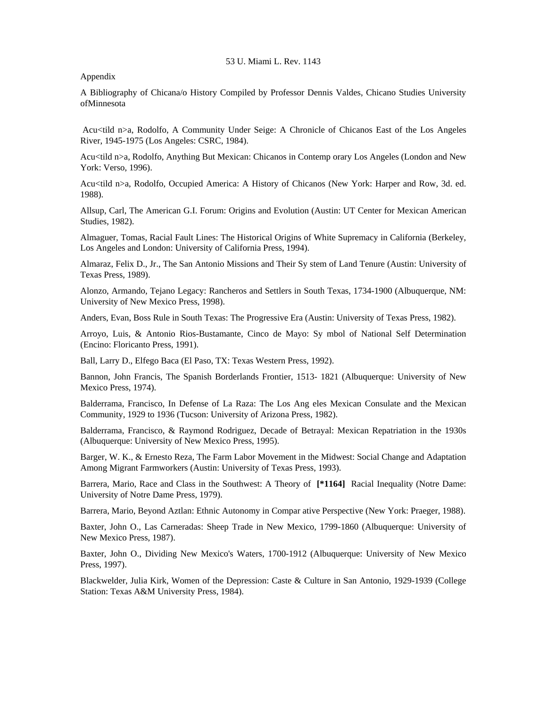Appendix

A Bibliography of Chicana/o History Compiled by Professor Dennis Valdes, Chicano Studies University ofMinnesota

Acu<tild n>a, Rodolfo, A Community Under Seige: A Chronicle of Chicanos East of the Los Angeles River, 1945-1975 (Los Angeles: CSRC, 1984).

Acu<tild n>a, Rodolfo, Anything But Mexican: Chicanos in Contemp orary Los Angeles (London and New York: Verso, 1996).

Acu<tild n>a, Rodolfo, Occupied America: A History of Chicanos (New York: Harper and Row, 3d. ed. 1988).

Allsup, Carl, The American G.I. Forum: Origins and Evolution (Austin: UT Center for Mexican American Studies, 1982).

Almaguer, Tomas, Racial Fault Lines: The Historical Origins of White Supremacy in California (Berkeley, Los Angeles and London: University of California Press, 1994).

Almaraz, Felix D., Jr., The San Antonio Missions and Their Sy stem of Land Tenure (Austin: University of Texas Press, 1989).

Alonzo, Armando, Tejano Legacy: Rancheros and Settlers in South Texas, 1734-1900 (Albuquerque, NM: University of New Mexico Press, 1998).

Anders, Evan, Boss Rule in South Texas: The Progressive Era (Austin: University of Texas Press, 1982).

Arroyo, Luis, & Antonio Rios-Bustamante, Cinco de Mayo: Sy mbol of National Self Determination (Encino: Floricanto Press, 1991).

Ball, Larry D., Elfego Baca (El Paso, TX: Texas Western Press, 1992).

Bannon, John Francis, The Spanish Borderlands Frontier, 1513- 1821 (Albuquerque: University of New Mexico Press, 1974).

Balderrama, Francisco, In Defense of La Raza: The Los Ang eles Mexican Consulate and the Mexican Community, 1929 to 1936 (Tucson: University of Arizona Press, 1982).

Balderrama, Francisco, & Raymond Rodriguez, Decade of Betrayal: Mexican Repatriation in the 1930s (Albuquerque: University of New Mexico Press, 1995).

Barger, W. K., & Ernesto Reza, The Farm Labor Movement in the Midwest: Social Change and Adaptation Among Migrant Farmworkers (Austin: University of Texas Press, 1993).

Barrera, Mario, Race and Class in the Southwest: A Theory of **[\*1164]** Racial Inequality (Notre Dame: University of Notre Dame Press, 1979).

Barrera, Mario, Beyond Aztlan: Ethnic Autonomy in Compar ative Perspective (New York: Praeger, 1988).

Baxter, John O., Las Carneradas: Sheep Trade in New Mexico, 1799-1860 (Albuquerque: University of New Mexico Press, 1987).

Baxter, John O., Dividing New Mexico's Waters, 1700-1912 (Albuquerque: University of New Mexico Press, 1997).

Blackwelder, Julia Kirk, Women of the Depression: Caste & Culture in San Antonio, 1929-1939 (College Station: Texas A&M University Press, 1984).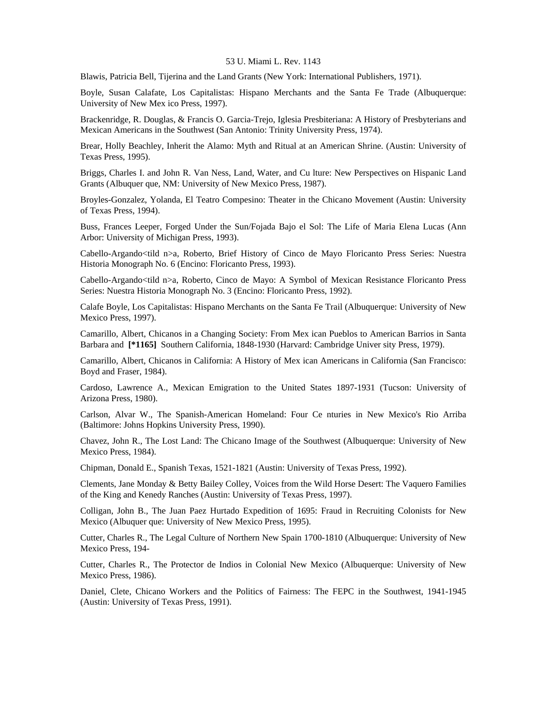Blawis, Patricia Bell, Tijerina and the Land Grants (New York: International Publishers, 1971).

Boyle, Susan Calafate, Los Capitalistas: Hispano Merchants and the Santa Fe Trade (Albuquerque: University of New Mex ico Press, 1997).

Brackenridge, R. Douglas, & Francis O. Garcia-Trejo, Iglesia Presbiteriana: A History of Presbyterians and Mexican Americans in the Southwest (San Antonio: Trinity University Press, 1974).

Brear, Holly Beachley, Inherit the Alamo: Myth and Ritual at an American Shrine. (Austin: University of Texas Press, 1995).

Briggs, Charles I. and John R. Van Ness, Land, Water, and Cu lture: New Perspectives on Hispanic Land Grants (Albuquer que, NM: University of New Mexico Press, 1987).

Broyles-Gonzalez, Yolanda, El Teatro Compesino: Theater in the Chicano Movement (Austin: University of Texas Press, 1994).

Buss, Frances Leeper, Forged Under the Sun/Fojada Bajo el Sol: The Life of Maria Elena Lucas (Ann Arbor: University of Michigan Press, 1993).

Cabello-Argando<tild n>a, Roberto, Brief History of Cinco de Mayo Floricanto Press Series: Nuestra Historia Monograph No. 6 (Encino: Floricanto Press, 1993).

Cabello-Argando<tild n>a, Roberto, Cinco de Mayo: A Symbol of Mexican Resistance Floricanto Press Series: Nuestra Historia Monograph No. 3 (Encino: Floricanto Press, 1992).

Calafe Boyle, Los Capitalistas: Hispano Merchants on the Santa Fe Trail (Albuquerque: University of New Mexico Press, 1997).

Camarillo, Albert, Chicanos in a Changing Society: From Mex ican Pueblos to American Barrios in Santa Barbara and **[\*1165]** Southern California, 1848-1930 (Harvard: Cambridge Univer sity Press, 1979).

Camarillo, Albert, Chicanos in California: A History of Mex ican Americans in California (San Francisco: Boyd and Fraser, 1984).

Cardoso, Lawrence A., Mexican Emigration to the United States 1897-1931 (Tucson: University of Arizona Press, 1980).

Carlson, Alvar W., The Spanish-American Homeland: Four Ce nturies in New Mexico's Rio Arriba (Baltimore: Johns Hopkins University Press, 1990).

Chavez, John R., The Lost Land: The Chicano Image of the Southwest (Albuquerque: University of New Mexico Press, 1984).

Chipman, Donald E., Spanish Texas, 1521-1821 (Austin: University of Texas Press, 1992).

Clements, Jane Monday & Betty Bailey Colley, Voices from the Wild Horse Desert: The Vaquero Families of the King and Kenedy Ranches (Austin: University of Texas Press, 1997).

Colligan, John B., The Juan Paez Hurtado Expedition of 1695: Fraud in Recruiting Colonists for New Mexico (Albuquer que: University of New Mexico Press, 1995).

Cutter, Charles R., The Legal Culture of Northern New Spain 1700-1810 (Albuquerque: University of New Mexico Press, 194-

Cutter, Charles R., The Protector de Indios in Colonial New Mexico (Albuquerque: University of New Mexico Press, 1986).

Daniel, Clete, Chicano Workers and the Politics of Fairness: The FEPC in the Southwest, 1941-1945 (Austin: University of Texas Press, 1991).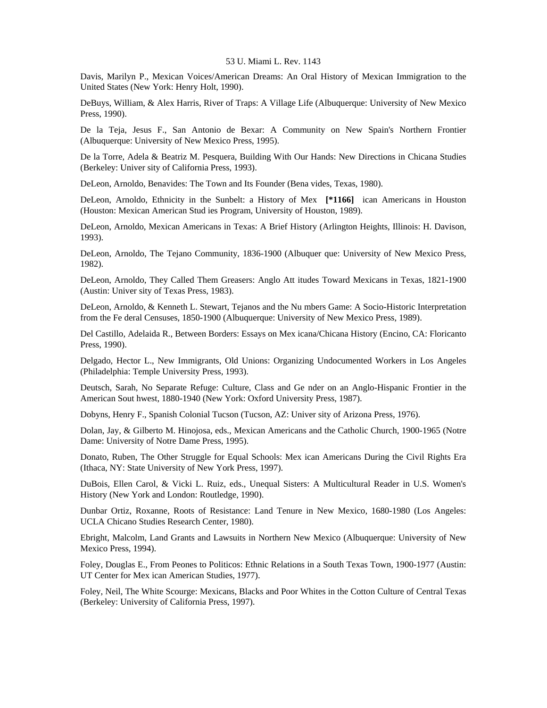Davis, Marilyn P., Mexican Voices/American Dreams: An Oral History of Mexican Immigration to the United States (New York: Henry Holt, 1990).

DeBuys, William, & Alex Harris, River of Traps: A Village Life (Albuquerque: University of New Mexico Press, 1990).

De la Teja, Jesus F., San Antonio de Bexar: A Community on New Spain's Northern Frontier (Albuquerque: University of New Mexico Press, 1995).

De la Torre, Adela & Beatriz M. Pesquera, Building With Our Hands: New Directions in Chicana Studies (Berkeley: Univer sity of California Press, 1993).

DeLeon, Arnoldo, Benavides: The Town and Its Founder (Bena vides, Texas, 1980).

DeLeon, Arnoldo, Ethnicity in the Sunbelt: a History of Mex **[\*1166]** ican Americans in Houston (Houston: Mexican American Stud ies Program, University of Houston, 1989).

DeLeon, Arnoldo, Mexican Americans in Texas: A Brief History (Arlington Heights, Illinois: H. Davison, 1993).

DeLeon, Arnoldo, The Tejano Community, 1836-1900 (Albuquer que: University of New Mexico Press, 1982).

DeLeon, Arnoldo, They Called Them Greasers: Anglo Att itudes Toward Mexicans in Texas, 1821-1900 (Austin: Univer sity of Texas Press, 1983).

DeLeon, Arnoldo, & Kenneth L. Stewart, Tejanos and the Nu mbers Game: A Socio-Historic Interpretation from the Fe deral Censuses, 1850-1900 (Albuquerque: University of New Mexico Press, 1989).

Del Castillo, Adelaida R., Between Borders: Essays on Mex icana/Chicana History (Encino, CA: Floricanto Press, 1990).

Delgado, Hector L., New Immigrants, Old Unions: Organizing Undocumented Workers in Los Angeles (Philadelphia: Temple University Press, 1993).

Deutsch, Sarah, No Separate Refuge: Culture, Class and Ge nder on an Anglo-Hispanic Frontier in the American Sout hwest, 1880-1940 (New York: Oxford University Press, 1987).

Dobyns, Henry F., Spanish Colonial Tucson (Tucson, AZ: Univer sity of Arizona Press, 1976).

Dolan, Jay, & Gilberto M. Hinojosa, eds., Mexican Americans and the Catholic Church, 1900-1965 (Notre Dame: University of Notre Dame Press, 1995).

Donato, Ruben, The Other Struggle for Equal Schools: Mex ican Americans During the Civil Rights Era (Ithaca, NY: State University of New York Press, 1997).

DuBois, Ellen Carol, & Vicki L. Ruiz, eds., Unequal Sisters: A Multicultural Reader in U.S. Women's History (New York and London: Routledge, 1990).

Dunbar Ortiz, Roxanne, Roots of Resistance: Land Tenure in New Mexico, 1680-1980 (Los Angeles: UCLA Chicano Studies Research Center, 1980).

Ebright, Malcolm, Land Grants and Lawsuits in Northern New Mexico (Albuquerque: University of New Mexico Press, 1994).

Foley, Douglas E., From Peones to Politicos: Ethnic Relations in a South Texas Town, 1900-1977 (Austin: UT Center for Mex ican American Studies, 1977).

Foley, Neil, The White Scourge: Mexicans, Blacks and Poor Whites in the Cotton Culture of Central Texas (Berkeley: University of California Press, 1997).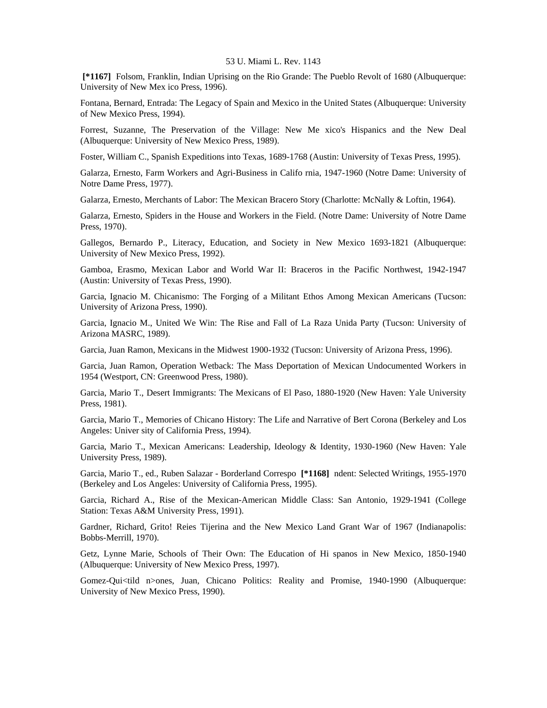**[\*1167]** Folsom, Franklin, Indian Uprising on the Rio Grande: The Pueblo Revolt of 1680 (Albuquerque: University of New Mex ico Press, 1996).

Fontana, Bernard, Entrada: The Legacy of Spain and Mexico in the United States (Albuquerque: University of New Mexico Press, 1994).

Forrest, Suzanne, The Preservation of the Village: New Me xico's Hispanics and the New Deal (Albuquerque: University of New Mexico Press, 1989).

Foster, William C., Spanish Expeditions into Texas, 1689-1768 (Austin: University of Texas Press, 1995).

Galarza, Ernesto, Farm Workers and Agri-Business in Califo rnia, 1947-1960 (Notre Dame: University of Notre Dame Press, 1977).

Galarza, Ernesto, Merchants of Labor: The Mexican Bracero Story (Charlotte: McNally & Loftin, 1964).

Galarza, Ernesto, Spiders in the House and Workers in the Field. (Notre Dame: University of Notre Dame Press, 1970).

Gallegos, Bernardo P., Literacy, Education, and Society in New Mexico 1693-1821 (Albuquerque: University of New Mexico Press, 1992).

Gamboa, Erasmo, Mexican Labor and World War II: Braceros in the Pacific Northwest, 1942-1947 (Austin: University of Texas Press, 1990).

Garcia, Ignacio M. Chicanismo: The Forging of a Militant Ethos Among Mexican Americans (Tucson: University of Arizona Press, 1990).

Garcia, Ignacio M., United We Win: The Rise and Fall of La Raza Unida Party (Tucson: University of Arizona MASRC, 1989).

Garcia, Juan Ramon, Mexicans in the Midwest 1900-1932 (Tucson: University of Arizona Press, 1996).

Garcia, Juan Ramon, Operation Wetback: The Mass Deportation of Mexican Undocumented Workers in 1954 (Westport, CN: Greenwood Press, 1980).

Garcia, Mario T., Desert Immigrants: The Mexicans of El Paso, 1880-1920 (New Haven: Yale University Press, 1981).

Garcia, Mario T., Memories of Chicano History: The Life and Narrative of Bert Corona (Berkeley and Los Angeles: Univer sity of California Press, 1994).

Garcia, Mario T., Mexican Americans: Leadership, Ideology & Identity, 1930-1960 (New Haven: Yale University Press, 1989).

Garcia, Mario T., ed., Ruben Salazar - Borderland Correspo **[\*1168]** ndent: Selected Writings, 1955-1970 (Berkeley and Los Angeles: University of California Press, 1995).

Garcia, Richard A., Rise of the Mexican-American Middle Class: San Antonio, 1929-1941 (College Station: Texas A&M University Press, 1991).

Gardner, Richard, Grito! Reies Tijerina and the New Mexico Land Grant War of 1967 (Indianapolis: Bobbs-Merrill, 1970).

Getz, Lynne Marie, Schools of Their Own: The Education of Hi spanos in New Mexico, 1850-1940 (Albuquerque: University of New Mexico Press, 1997).

Gomez-Qui<tild n>ones, Juan, Chicano Politics: Reality and Promise, 1940-1990 (Albuquerque: University of New Mexico Press, 1990).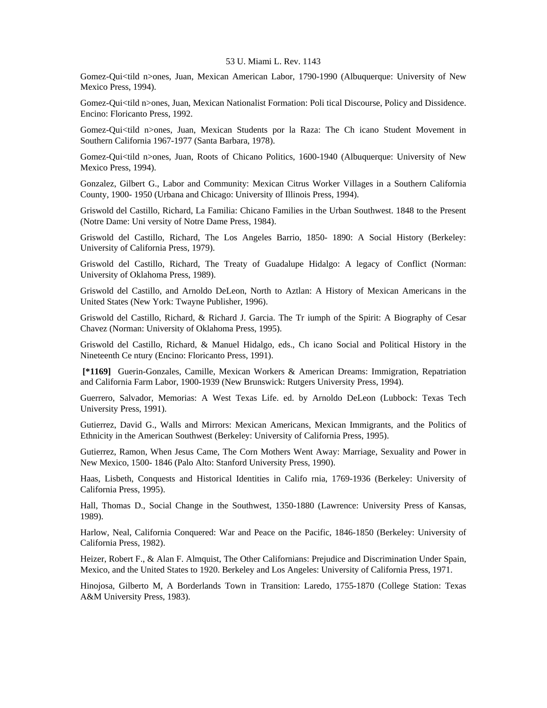Gomez-Qui<tild n>ones, Juan, Mexican American Labor, 1790-1990 (Albuquerque: University of New Mexico Press, 1994).

Gomez-Qui<tild n>ones, Juan, Mexican Nationalist Formation: Poli tical Discourse, Policy and Dissidence. Encino: Floricanto Press, 1992.

Gomez-Qui<tild n>ones, Juan, Mexican Students por la Raza: The Ch icano Student Movement in Southern California 1967-1977 (Santa Barbara, 1978).

Gomez-Qui<tild n>ones, Juan, Roots of Chicano Politics, 1600-1940 (Albuquerque: University of New Mexico Press, 1994).

Gonzalez, Gilbert G., Labor and Community: Mexican Citrus Worker Villages in a Southern California County, 1900- 1950 (Urbana and Chicago: University of Illinois Press, 1994).

Griswold del Castillo, Richard, La Familia: Chicano Families in the Urban Southwest. 1848 to the Present (Notre Dame: Uni versity of Notre Dame Press, 1984).

Griswold del Castillo, Richard, The Los Angeles Barrio, 1850- 1890: A Social History (Berkeley: University of California Press, 1979).

Griswold del Castillo, Richard, The Treaty of Guadalupe Hidalgo: A legacy of Conflict (Norman: University of Oklahoma Press, 1989).

Griswold del Castillo, and Arnoldo DeLeon, North to Aztlan: A History of Mexican Americans in the United States (New York: Twayne Publisher, 1996).

Griswold del Castillo, Richard, & Richard J. Garcia. The Tr iumph of the Spirit: A Biography of Cesar Chavez (Norman: University of Oklahoma Press, 1995).

Griswold del Castillo, Richard, & Manuel Hidalgo, eds., Ch icano Social and Political History in the Nineteenth Ce ntury (Encino: Floricanto Press, 1991).

 **[\*1169]** Guerin-Gonzales, Camille, Mexican Workers & American Dreams: Immigration, Repatriation and California Farm Labor, 1900-1939 (New Brunswick: Rutgers University Press, 1994).

Guerrero, Salvador, Memorias: A West Texas Life. ed. by Arnoldo DeLeon (Lubbock: Texas Tech University Press, 1991).

Gutierrez, David G., Walls and Mirrors: Mexican Americans, Mexican Immigrants, and the Politics of Ethnicity in the American Southwest (Berkeley: University of California Press, 1995).

Gutierrez, Ramon, When Jesus Came, The Corn Mothers Went Away: Marriage, Sexuality and Power in New Mexico, 1500- 1846 (Palo Alto: Stanford University Press, 1990).

Haas, Lisbeth, Conquests and Historical Identities in Califo rnia, 1769-1936 (Berkeley: University of California Press, 1995).

Hall, Thomas D., Social Change in the Southwest, 1350-1880 (Lawrence: University Press of Kansas, 1989).

Harlow, Neal, California Conquered: War and Peace on the Pacific, 1846-1850 (Berkeley: University of California Press, 1982).

Heizer, Robert F., & Alan F. Almquist, The Other Californians: Prejudice and Discrimination Under Spain, Mexico, and the United States to 1920. Berkeley and Los Angeles: University of California Press, 1971.

Hinojosa, Gilberto M, A Borderlands Town in Transition: Laredo, 1755-1870 (College Station: Texas A&M University Press, 1983).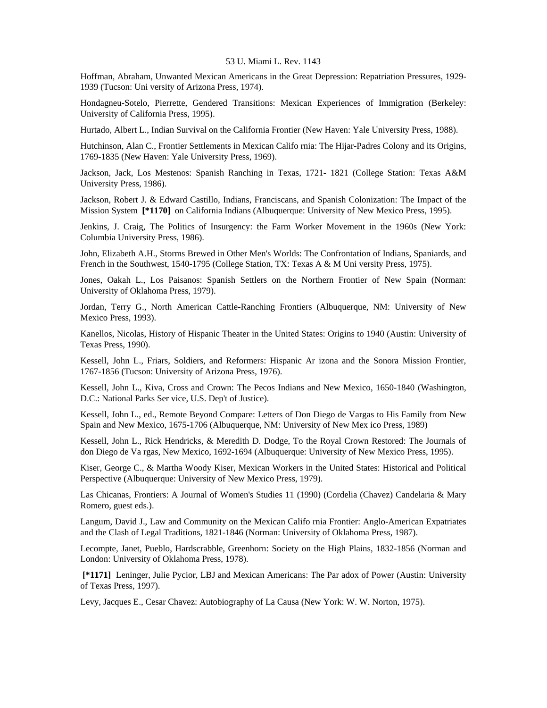Hoffman, Abraham, Unwanted Mexican Americans in the Great Depression: Repatriation Pressures, 1929- 1939 (Tucson: Uni versity of Arizona Press, 1974).

Hondagneu-Sotelo, Pierrette, Gendered Transitions: Mexican Experiences of Immigration (Berkeley: University of California Press, 1995).

Hurtado, Albert L., Indian Survival on the California Frontier (New Haven: Yale University Press, 1988).

Hutchinson, Alan C., Frontier Settlements in Mexican Califo rnia: The Hijar-Padres Colony and its Origins, 1769-1835 (New Haven: Yale University Press, 1969).

Jackson, Jack, Los Mestenos: Spanish Ranching in Texas, 1721- 1821 (College Station: Texas A&M University Press, 1986).

Jackson, Robert J. & Edward Castillo, Indians, Franciscans, and Spanish Colonization: The Impact of the Mission System **[\*1170]** on California Indians (Albuquerque: University of New Mexico Press, 1995).

Jenkins, J. Craig, The Politics of Insurgency: the Farm Worker Movement in the 1960s (New York: Columbia University Press, 1986).

John, Elizabeth A.H., Storms Brewed in Other Men's Worlds: The Confrontation of Indians, Spaniards, and French in the Southwest, 1540-1795 (College Station, TX: Texas A & M Uni versity Press, 1975).

Jones, Oakah L., Los Paisanos: Spanish Settlers on the Northern Frontier of New Spain (Norman: University of Oklahoma Press, 1979).

Jordan, Terry G., North American Cattle-Ranching Frontiers (Albuquerque, NM: University of New Mexico Press, 1993).

Kanellos, Nicolas, History of Hispanic Theater in the United States: Origins to 1940 (Austin: University of Texas Press, 1990).

Kessell, John L., Friars, Soldiers, and Reformers: Hispanic Ar izona and the Sonora Mission Frontier, 1767-1856 (Tucson: University of Arizona Press, 1976).

Kessell, John L., Kiva, Cross and Crown: The Pecos Indians and New Mexico, 1650-1840 (Washington, D.C.: National Parks Ser vice, U.S. Dep't of Justice).

Kessell, John L., ed., Remote Beyond Compare: Letters of Don Diego de Vargas to His Family from New Spain and New Mexico, 1675-1706 (Albuquerque, NM: University of New Mex ico Press, 1989)

Kessell, John L., Rick Hendricks, & Meredith D. Dodge, To the Royal Crown Restored: The Journals of don Diego de Va rgas, New Mexico, 1692-1694 (Albuquerque: University of New Mexico Press, 1995).

Kiser, George C., & Martha Woody Kiser, Mexican Workers in the United States: Historical and Political Perspective (Albuquerque: University of New Mexico Press, 1979).

Las Chicanas, Frontiers: A Journal of Women's Studies 11 (1990) (Cordelia (Chavez) Candelaria & Mary Romero, guest eds.).

Langum, David J., Law and Community on the Mexican Califo rnia Frontier: Anglo-American Expatriates and the Clash of Legal Traditions, 1821-1846 (Norman: University of Oklahoma Press, 1987).

Lecompte, Janet, Pueblo, Hardscrabble, Greenhorn: Society on the High Plains, 1832-1856 (Norman and London: University of Oklahoma Press, 1978).

 **[\*1171]** Leninger, Julie Pycior, LBJ and Mexican Americans: The Par adox of Power (Austin: University of Texas Press, 1997).

Levy, Jacques E., Cesar Chavez: Autobiography of La Causa (New York: W. W. Norton, 1975).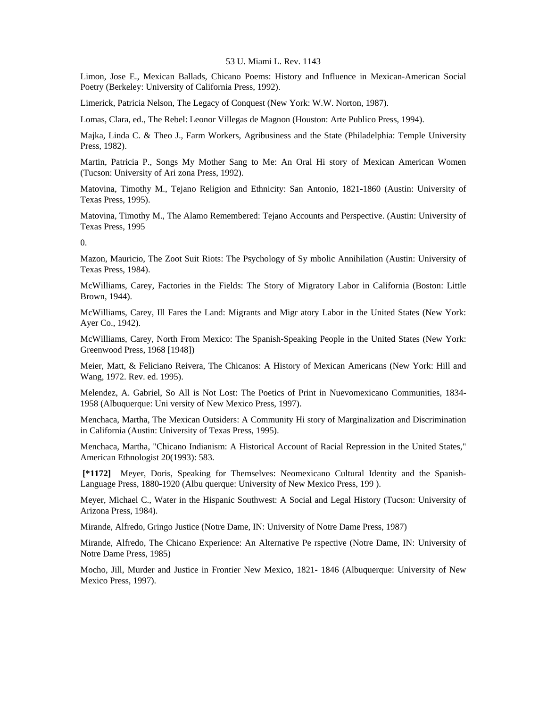Limon, Jose E., Mexican Ballads, Chicano Poems: History and Influence in Mexican-American Social Poetry (Berkeley: University of California Press, 1992).

Limerick, Patricia Nelson, The Legacy of Conquest (New York: W.W. Norton, 1987).

Lomas, Clara, ed., The Rebel: Leonor Villegas de Magnon (Houston: Arte Publico Press, 1994).

Majka, Linda C. & Theo J., Farm Workers, Agribusiness and the State (Philadelphia: Temple University Press, 1982).

Martin, Patricia P., Songs My Mother Sang to Me: An Oral Hi story of Mexican American Women (Tucson: University of Ari zona Press, 1992).

Matovina, Timothy M., Tejano Religion and Ethnicity: San Antonio, 1821-1860 (Austin: University of Texas Press, 1995).

Matovina, Timothy M., The Alamo Remembered: Tejano Accounts and Perspective. (Austin: University of Texas Press, 1995

0.

Mazon, Mauricio, The Zoot Suit Riots: The Psychology of Sy mbolic Annihilation (Austin: University of Texas Press, 1984).

McWilliams, Carey, Factories in the Fields: The Story of Migratory Labor in California (Boston: Little Brown, 1944).

McWilliams, Carey, Ill Fares the Land: Migrants and Migr atory Labor in the United States (New York: Ayer Co., 1942).

McWilliams, Carey, North From Mexico: The Spanish-Speaking People in the United States (New York: Greenwood Press, 1968 [1948])

Meier, Matt, & Feliciano Reivera, The Chicanos: A History of Mexican Americans (New York: Hill and Wang, 1972. Rev. ed. 1995).

Melendez, A. Gabriel, So All is Not Lost: The Poetics of Print in Nuevomexicano Communities, 1834- 1958 (Albuquerque: Uni versity of New Mexico Press, 1997).

Menchaca, Martha, The Mexican Outsiders: A Community Hi story of Marginalization and Discrimination in California (Austin: University of Texas Press, 1995).

Menchaca, Martha, "Chicano Indianism: A Historical Account of Racial Repression in the United States," American Ethnologist 20(1993): 583.

 **[\*1172]** Meyer, Doris, Speaking for Themselves: Neomexicano Cultural Identity and the Spanish-Language Press, 1880-1920 (Albu querque: University of New Mexico Press, 199 ).

Meyer, Michael C., Water in the Hispanic Southwest: A Social and Legal History (Tucson: University of Arizona Press, 1984).

Mirande, Alfredo, Gringo Justice (Notre Dame, IN: University of Notre Dame Press, 1987)

Mirande, Alfredo, The Chicano Experience: An Alternative Pe rspective (Notre Dame, IN: University of Notre Dame Press, 1985)

Mocho, Jill, Murder and Justice in Frontier New Mexico, 1821- 1846 (Albuquerque: University of New Mexico Press, 1997).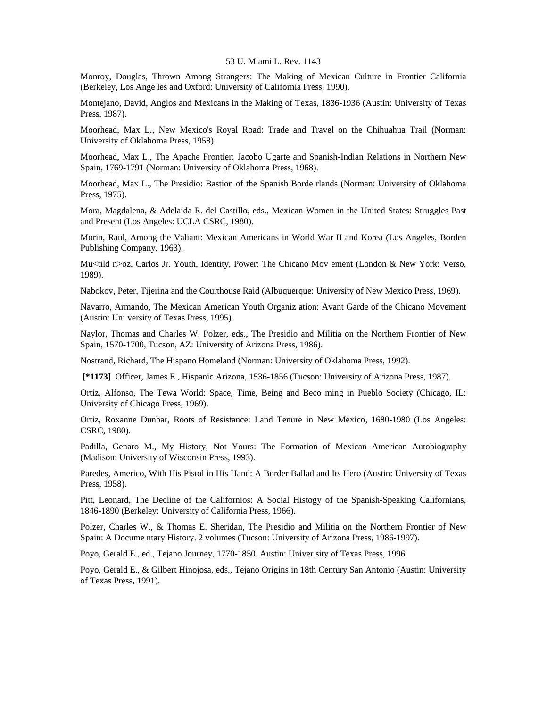Monroy, Douglas, Thrown Among Strangers: The Making of Mexican Culture in Frontier California (Berkeley, Los Ange les and Oxford: University of California Press, 1990).

Montejano, David, Anglos and Mexicans in the Making of Texas, 1836-1936 (Austin: University of Texas Press, 1987).

Moorhead, Max L., New Mexico's Royal Road: Trade and Travel on the Chihuahua Trail (Norman: University of Oklahoma Press, 1958).

Moorhead, Max L., The Apache Frontier: Jacobo Ugarte and Spanish-Indian Relations in Northern New Spain, 1769-1791 (Norman: University of Oklahoma Press, 1968).

Moorhead, Max L., The Presidio: Bastion of the Spanish Borde rlands (Norman: University of Oklahoma Press, 1975).

Mora, Magdalena, & Adelaida R. del Castillo, eds., Mexican Women in the United States: Struggles Past and Present (Los Angeles: UCLA CSRC, 1980).

Morin, Raul, Among the Valiant: Mexican Americans in World War II and Korea (Los Angeles, Borden Publishing Company, 1963).

Mu<tild n>oz, Carlos Jr. Youth, Identity, Power: The Chicano Mov ement (London & New York: Verso, 1989).

Nabokov, Peter, Tijerina and the Courthouse Raid (Albuquerque: University of New Mexico Press, 1969).

Navarro, Armando, The Mexican American Youth Organiz ation: Avant Garde of the Chicano Movement (Austin: Uni versity of Texas Press, 1995).

Naylor, Thomas and Charles W. Polzer, eds., The Presidio and Militia on the Northern Frontier of New Spain, 1570-1700, Tucson, AZ: University of Arizona Press, 1986).

Nostrand, Richard, The Hispano Homeland (Norman: University of Oklahoma Press, 1992).

 **[\*1173]** Officer, James E., Hispanic Arizona, 1536-1856 (Tucson: University of Arizona Press, 1987).

Ortiz, Alfonso, The Tewa World: Space, Time, Being and Beco ming in Pueblo Society (Chicago, IL: University of Chicago Press, 1969).

Ortiz, Roxanne Dunbar, Roots of Resistance: Land Tenure in New Mexico, 1680-1980 (Los Angeles: CSRC, 1980).

Padilla, Genaro M., My History, Not Yours: The Formation of Mexican American Autobiography (Madison: University of Wisconsin Press, 1993).

Paredes, Americo, With His Pistol in His Hand: A Border Ballad and Its Hero (Austin: University of Texas Press, 1958).

Pitt, Leonard, The Decline of the Californios: A Social Histogy of the Spanish-Speaking Californians, 1846-1890 (Berkeley: University of California Press, 1966).

Polzer, Charles W., & Thomas E. Sheridan, The Presidio and Militia on the Northern Frontier of New Spain: A Docume ntary History. 2 volumes (Tucson: University of Arizona Press, 1986-1997).

Poyo, Gerald E., ed., Tejano Journey, 1770-1850. Austin: Univer sity of Texas Press, 1996.

Poyo, Gerald E., & Gilbert Hinojosa, eds., Tejano Origins in 18th Century San Antonio (Austin: University of Texas Press, 1991).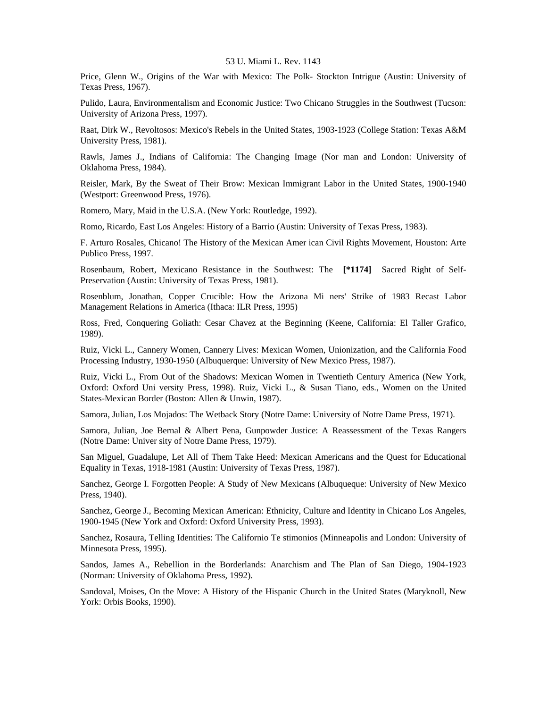Price, Glenn W., Origins of the War with Mexico: The Polk- Stockton Intrigue (Austin: University of Texas Press, 1967).

Pulido, Laura, Environmentalism and Economic Justice: Two Chicano Struggles in the Southwest (Tucson: University of Arizona Press, 1997).

Raat, Dirk W., Revoltosos: Mexico's Rebels in the United States, 1903-1923 (College Station: Texas A&M University Press, 1981).

Rawls, James J., Indians of California: The Changing Image (Nor man and London: University of Oklahoma Press, 1984).

Reisler, Mark, By the Sweat of Their Brow: Mexican Immigrant Labor in the United States, 1900-1940 (Westport: Greenwood Press, 1976).

Romero, Mary, Maid in the U.S.A. (New York: Routledge, 1992).

Romo, Ricardo, East Los Angeles: History of a Barrio (Austin: University of Texas Press, 1983).

F. Arturo Rosales, Chicano! The History of the Mexican Amer ican Civil Rights Movement, Houston: Arte Publico Press, 1997.

Rosenbaum, Robert, Mexicano Resistance in the Southwest: The **[\*1174]** Sacred Right of Self-Preservation (Austin: University of Texas Press, 1981).

Rosenblum, Jonathan, Copper Crucible: How the Arizona Mi ners' Strike of 1983 Recast Labor Management Relations in America (Ithaca: ILR Press, 1995)

Ross, Fred, Conquering Goliath: Cesar Chavez at the Beginning (Keene, California: El Taller Grafico, 1989).

Ruiz, Vicki L., Cannery Women, Cannery Lives: Mexican Women, Unionization, and the California Food Processing Industry, 1930-1950 (Albuquerque: University of New Mexico Press, 1987).

Ruiz, Vicki L., From Out of the Shadows: Mexican Women in Twentieth Century America (New York, Oxford: Oxford Uni versity Press, 1998). Ruiz, Vicki L., & Susan Tiano, eds., Women on the United States-Mexican Border (Boston: Allen & Unwin, 1987).

Samora, Julian, Los Mojados: The Wetback Story (Notre Dame: University of Notre Dame Press, 1971).

Samora, Julian, Joe Bernal & Albert Pena, Gunpowder Justice: A Reassessment of the Texas Rangers (Notre Dame: Univer sity of Notre Dame Press, 1979).

San Miguel, Guadalupe, Let All of Them Take Heed: Mexican Americans and the Quest for Educational Equality in Texas, 1918-1981 (Austin: University of Texas Press, 1987).

Sanchez, George I. Forgotten People: A Study of New Mexicans (Albuqueque: University of New Mexico Press, 1940).

Sanchez, George J., Becoming Mexican American: Ethnicity, Culture and Identity in Chicano Los Angeles, 1900-1945 (New York and Oxford: Oxford University Press, 1993).

Sanchez, Rosaura, Telling Identities: The Californio Te stimonios (Minneapolis and London: University of Minnesota Press, 1995).

Sandos, James A., Rebellion in the Borderlands: Anarchism and The Plan of San Diego, 1904-1923 (Norman: University of Oklahoma Press, 1992).

Sandoval, Moises, On the Move: A History of the Hispanic Church in the United States (Maryknoll, New York: Orbis Books, 1990).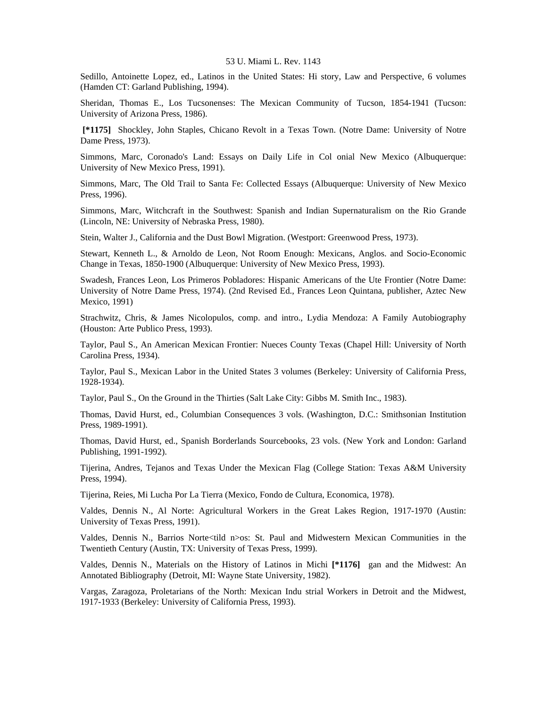Sedillo, Antoinette Lopez, ed., Latinos in the United States: Hi story, Law and Perspective, 6 volumes (Hamden CT: Garland Publishing, 1994).

Sheridan, Thomas E., Los Tucsonenses: The Mexican Community of Tucson, 1854-1941 (Tucson: University of Arizona Press, 1986).

 **[\*1175]** Shockley, John Staples, Chicano Revolt in a Texas Town. (Notre Dame: University of Notre Dame Press, 1973).

Simmons, Marc, Coronado's Land: Essays on Daily Life in Col onial New Mexico (Albuquerque: University of New Mexico Press, 1991).

Simmons, Marc, The Old Trail to Santa Fe: Collected Essays (Albuquerque: University of New Mexico Press, 1996).

Simmons, Marc, Witchcraft in the Southwest: Spanish and Indian Supernaturalism on the Rio Grande (Lincoln, NE: University of Nebraska Press, 1980).

Stein, Walter J., California and the Dust Bowl Migration. (Westport: Greenwood Press, 1973).

Stewart, Kenneth L., & Arnoldo de Leon, Not Room Enough: Mexicans, Anglos. and Socio-Economic Change in Texas, 1850-1900 (Albuquerque: University of New Mexico Press, 1993).

Swadesh, Frances Leon, Los Primeros Pobladores: Hispanic Americans of the Ute Frontier (Notre Dame: University of Notre Dame Press, 1974). (2nd Revised Ed., Frances Leon Quintana, publisher, Aztec New Mexico, 1991)

Strachwitz, Chris, & James Nicolopulos, comp. and intro., Lydia Mendoza: A Family Autobiography (Houston: Arte Publico Press, 1993).

Taylor, Paul S., An American Mexican Frontier: Nueces County Texas (Chapel Hill: University of North Carolina Press, 1934).

Taylor, Paul S., Mexican Labor in the United States 3 volumes (Berkeley: University of California Press, 1928-1934).

Taylor, Paul S., On the Ground in the Thirties (Salt Lake City: Gibbs M. Smith Inc., 1983).

Thomas, David Hurst, ed., Columbian Consequences 3 vols. (Washington, D.C.: Smithsonian Institution Press, 1989-1991).

Thomas, David Hurst, ed., Spanish Borderlands Sourcebooks, 23 vols. (New York and London: Garland Publishing, 1991-1992).

Tijerina, Andres, Tejanos and Texas Under the Mexican Flag (College Station: Texas A&M University Press, 1994).

Tijerina, Reies, Mi Lucha Por La Tierra (Mexico, Fondo de Cultura, Economica, 1978).

Valdes, Dennis N., Al Norte: Agricultural Workers in the Great Lakes Region, 1917-1970 (Austin: University of Texas Press, 1991).

Valdes, Dennis N., Barrios Norte<tild n>os: St. Paul and Midwestern Mexican Communities in the Twentieth Century (Austin, TX: University of Texas Press, 1999).

Valdes, Dennis N., Materials on the History of Latinos in Michi **[\*1176]** gan and the Midwest: An Annotated Bibliography (Detroit, MI: Wayne State University, 1982).

Vargas, Zaragoza, Proletarians of the North: Mexican Indu strial Workers in Detroit and the Midwest, 1917-1933 (Berkeley: University of California Press, 1993).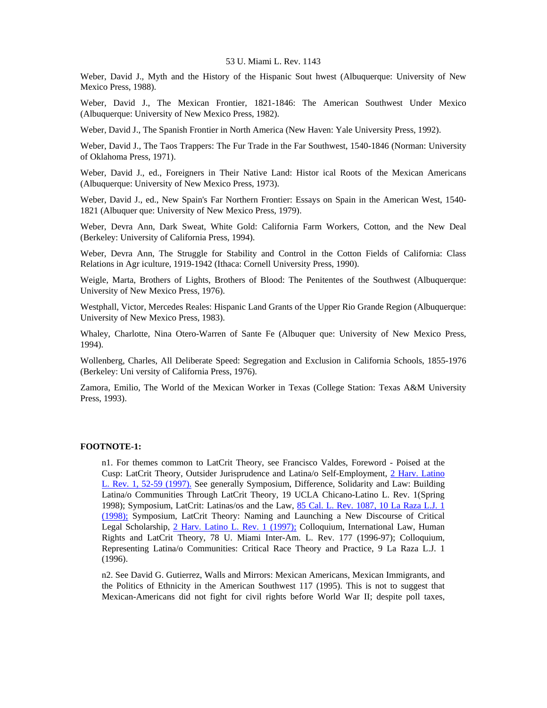Weber, David J., Myth and the History of the Hispanic Sout hwest (Albuquerque: University of New Mexico Press, 1988).

Weber, David J., The Mexican Frontier, 1821-1846: The American Southwest Under Mexico (Albuquerque: University of New Mexico Press, 1982).

Weber, David J., The Spanish Frontier in North America (New Haven: Yale University Press, 1992).

Weber, David J., The Taos Trappers: The Fur Trade in the Far Southwest, 1540-1846 (Norman: University of Oklahoma Press, 1971).

Weber, David J., ed., Foreigners in Their Native Land: Histor ical Roots of the Mexican Americans (Albuquerque: University of New Mexico Press, 1973).

Weber, David J., ed., New Spain's Far Northern Frontier: Essays on Spain in the American West, 1540- 1821 (Albuquer que: University of New Mexico Press, 1979).

Weber, Devra Ann, Dark Sweat, White Gold: California Farm Workers, Cotton, and the New Deal (Berkeley: University of California Press, 1994).

Weber, Devra Ann, The Struggle for Stability and Control in the Cotton Fields of California: Class Relations in Agr iculture, 1919-1942 (Ithaca: Cornell University Press, 1990).

Weigle, Marta, Brothers of Lights, Brothers of Blood: The Penitentes of the Southwest (Albuquerque: University of New Mexico Press, 1976).

Westphall, Victor, Mercedes Reales: Hispanic Land Grants of the Upper Rio Grande Region (Albuquerque: University of New Mexico Press, 1983).

Whaley, Charlotte, Nina Otero-Warren of Sante Fe (Albuquer que: University of New Mexico Press, 1994).

Wollenberg, Charles, All Deliberate Speed: Segregation and Exclusion in California Schools, 1855-1976 (Berkeley: Uni versity of California Press, 1976).

Zamora, Emilio, The World of the Mexican Worker in Texas (College Station: Texas A&M University Press, 1993).

#### **FOOTNOTE-1:**

n1. For themes common to LatCrit Theory, see Francisco Valdes, Foreword - Poised at the Cusp: LatCrit Theory, Outsider Jurisprudence and Latina/o Self-Employment, [2 Harv. Latino](http://www.lexis.com/research/xlink?searchtype=get&search=2%20Harv.%20Latino%20L.%20Rev.%201,at%2052)  [L. Rev. 1, 52-59 \(1997\).](http://www.lexis.com/research/xlink?searchtype=get&search=2%20Harv.%20Latino%20L.%20Rev.%201,at%2052) See generally Symposium, Difference, Solidarity and Law: Building Latina/o Communities Through LatCrit Theory, 19 UCLA Chicano-Latino L. Rev. 1(Spring 1998); Symposium, LatCrit: Latinas/os and the Law, [85 Cal. L. Rev. 1087, 10 La Raza L.J. 1](http://www.lexis.com/research/xlink?searchtype=get&search=85%20Calif.%20L.%20Rev.%201087)  [\(1998\);](http://www.lexis.com/research/xlink?searchtype=get&search=85%20Calif.%20L.%20Rev.%201087) Symposium, LatCrit Theory: Naming and Launching a New Discourse of Critical Legal Scholarship, [2 Harv. Latino L. Rev. 1 \(1997\);](http://www.lexis.com/research/xlink?searchtype=get&search=2%20Harv.%20Latino%20L.%20Rev.%201) Colloquium, International Law, Human Rights and LatCrit Theory, 78 U. Miami Inter-Am. L. Rev. 177 (1996-97); Colloquium, Representing Latina/o Communities: Critical Race Theory and Practice, 9 La Raza L.J. 1 (1996).

n2. See David G. Gutierrez, Walls and Mirrors: Mexican Americans, Mexican Immigrants, and the Politics of Ethnicity in the American Southwest 117 (1995). This is not to suggest that Mexican-Americans did not fight for civil rights before World War II; despite poll taxes,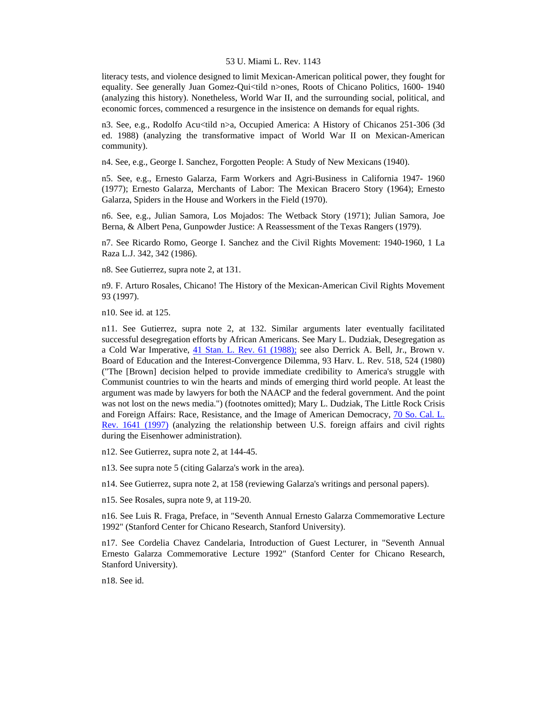literacy tests, and violence designed to limit Mexican-American political power, they fought for equality. See generally Juan Gomez-Qui<tild n>ones, Roots of Chicano Politics, 1600- 1940 (analyzing this history). Nonetheless, World War II, and the surrounding social, political, and economic forces, commenced a resurgence in the insistence on demands for equal rights.

n3. See, e.g., Rodolfo Acu<tild n>a, Occupied America: A History of Chicanos 251-306 (3d ed. 1988) (analyzing the transformative impact of World War II on Mexican-American community).

n4. See, e.g., George I. Sanchez, Forgotten People: A Study of New Mexicans (1940).

n5. See, e.g., Ernesto Galarza, Farm Workers and Agri-Business in California 1947- 1960 (1977); Ernesto Galarza, Merchants of Labor: The Mexican Bracero Story (1964); Ernesto Galarza, Spiders in the House and Workers in the Field (1970).

n6. See, e.g., Julian Samora, Los Mojados: The Wetback Story (1971); Julian Samora, Joe Berna, & Albert Pena, Gunpowder Justice: A Reassessment of the Texas Rangers (1979).

n7. See Ricardo Romo, George I. Sanchez and the Civil Rights Movement: 1940-1960, 1 La Raza L.J. 342, 342 (1986).

n8. See Gutierrez, supra note 2, at 131.

n9. F. Arturo Rosales, Chicano! The History of the Mexican-American Civil Rights Movement 93 (1997).

n10. See id. at 125.

n11. See Gutierrez, supra note 2, at 132. Similar arguments later eventually facilitated successful desegregation efforts by African Americans. See Mary L. Dudziak, Desegregation as a Cold War Imperative, [41 Stan. L. Rev. 61 \(1988\);](http://www.lexis.com/research/xlink?searchtype=get&search=41%20Stan.%20L.%20Rev.%2061) see also Derrick A. Bell, Jr., Brown v. Board of Education and the Interest-Convergence Dilemma, 93 Harv. L. Rev. 518, 524 (1980) ("The [Brown] decision helped to provide immediate credibility to America's struggle with Communist countries to win the hearts and minds of emerging third world people. At least the argument was made by lawyers for both the NAACP and the federal government. And the point was not lost on the news media.") (footnotes omitted); Mary L. Dudziak, The Little Rock Crisis and Foreign Affairs: Race, Resistance, and the Image of American Democracy, [70 So. Cal. L.](http://www.lexis.com/research/xlink?searchtype=get&search=70%20S.%20Cal.%20L.%20Rev.%201641)  [Rev. 1641 \(1997\)](http://www.lexis.com/research/xlink?searchtype=get&search=70%20S.%20Cal.%20L.%20Rev.%201641) (analyzing the relationship between U.S. foreign affairs and civil rights during the Eisenhower administration).

n12. See Gutierrez, supra note 2, at 144-45.

n13. See supra note 5 (citing Galarza's work in the area).

n14. See Gutierrez, supra note 2, at 158 (reviewing Galarza's writings and personal papers).

n15. See Rosales, supra note 9, at 119-20.

n16. See Luis R. Fraga, Preface, in "Seventh Annual Ernesto Galarza Commemorative Lecture 1992" (Stanford Center for Chicano Research, Stanford University).

n17. See Cordelia Chavez Candelaria, Introduction of Guest Lecturer, in "Seventh Annual Ernesto Galarza Commemorative Lecture 1992" (Stanford Center for Chicano Research, Stanford University).

n18. See id.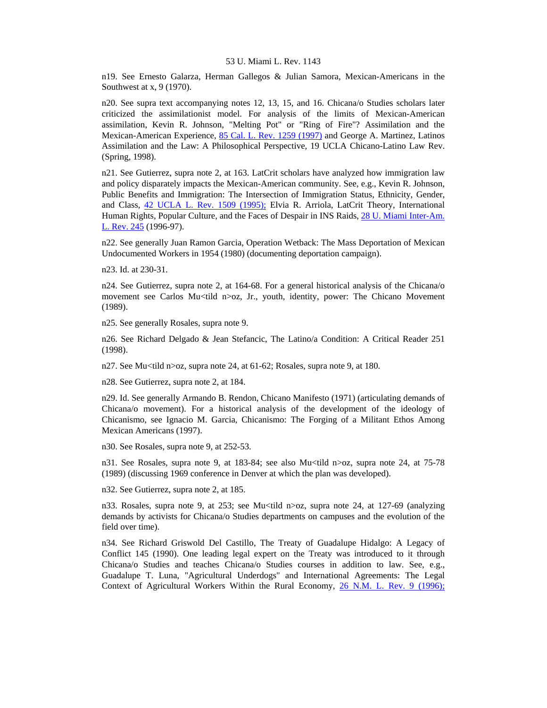n19. See Ernesto Galarza, Herman Gallegos & Julian Samora, Mexican-Americans in the Southwest at x, 9 (1970).

n20. See supra text accompanying notes 12, 13, 15, and 16. Chicana/o Studies scholars later criticized the assimilationist model. For analysis of the limits of Mexican-American assimilation, Kevin R. Johnson, "Melting Pot" or "Ring of Fire"? Assimilation and the Mexican-American Experience, [85 Cal. L. Rev. 1259 \(1997\)](http://www.lexis.com/research/xlink?searchtype=get&search=85%20Calif.%20L.%20Rev.%201259) and George A. Martinez, Latinos Assimilation and the Law: A Philosophical Perspective, 19 UCLA Chicano-Latino Law Rev. (Spring, 1998).

n21. See Gutierrez, supra note 2, at 163. LatCrit scholars have analyzed how immigration law and policy disparately impacts the Mexican-American community. See, e.g., Kevin R. Johnson, Public Benefits and Immigration: The Intersection of Immigration Status, Ethnicity, Gender, and Class, [42 UCLA L. Rev. 1509 \(1995\);](http://www.lexis.com/research/xlink?searchtype=get&search=42%20UCLA%20L.%20Rev.%201509) Elvia R. Arriola, LatCrit Theory, International Human Rights, Popular Culture, and the Faces of Despair in INS Raids, [28 U. Miami Inter-Am.](http://www.lexis.com/research/xlink?searchtype=get&search=28%20U.%20Miami%20Inter-Am.%20L.%20Rev.%20245)  [L. Rev. 245](http://www.lexis.com/research/xlink?searchtype=get&search=28%20U.%20Miami%20Inter-Am.%20L.%20Rev.%20245) (1996-97).

n22. See generally Juan Ramon Garcia, Operation Wetback: The Mass Deportation of Mexican Undocumented Workers in 1954 (1980) (documenting deportation campaign).

n23. Id. at 230-31.

n24. See Gutierrez, supra note 2, at 164-68. For a general historical analysis of the Chicana/o movement see Carlos Mu<tild n>oz, Jr., youth, identity, power: The Chicano Movement (1989).

n25. See generally Rosales, supra note 9.

n26. See Richard Delgado & Jean Stefancic, The Latino/a Condition: A Critical Reader 251 (1998).

n27. See Mu<tild n>oz, supra note 24, at 61-62; Rosales, supra note 9, at 180.

n28. See Gutierrez, supra note 2, at 184.

n29. Id. See generally Armando B. Rendon, Chicano Manifesto (1971) (articulating demands of Chicana/o movement). For a historical analysis of the development of the ideology of Chicanismo, see Ignacio M. Garcia, Chicanismo: The Forging of a Militant Ethos Among Mexican Americans (1997).

n30. See Rosales, supra note 9, at 252-53.

n31. See Rosales, supra note 9, at 183-84; see also Mu<tild n>oz, supra note 24, at 75-78 (1989) (discussing 1969 conference in Denver at which the plan was developed).

n32. See Gutierrez, supra note 2, at 185.

n33. Rosales, supra note 9, at 253; see Mu<tild n>oz, supra note 24, at 127-69 (analyzing demands by activists for Chicana/o Studies departments on campuses and the evolution of the field over time).

n34. See Richard Griswold Del Castillo, The Treaty of Guadalupe Hidalgo: A Legacy of Conflict 145 (1990). One leading legal expert on the Treaty was introduced to it through Chicana/o Studies and teaches Chicana/o Studies courses in addition to law. See, e.g., Guadalupe T. Luna, "Agricultural Underdogs" and International Agreements: The Legal Context of Agricultural Workers Within the Rural Economy, [26 N.M. L. Rev. 9 \(1996\);](http://www.lexis.com/research/xlink?searchtype=get&search=26%20N.M.L.%20Rev.%209)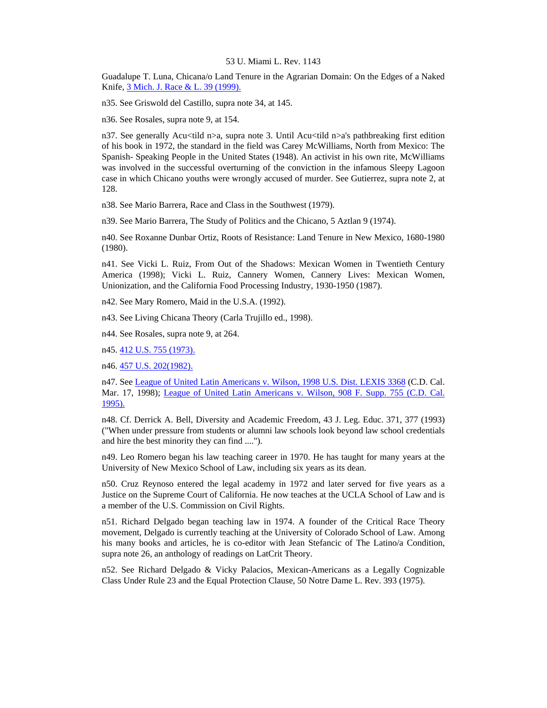Guadalupe T. Luna, Chicana/o Land Tenure in the Agrarian Domain: On the Edges of a Naked Knife, [3 Mich. J. Race & L. 39 \(1999\).](http://www.lexis.com/research/xlink?searchtype=get&search=3%20Mich.%20J.%20Race%20%26%20L.%2039)

n35. See Griswold del Castillo, supra note 34, at 145.

n36. See Rosales, supra note 9, at 154.

n37. See generally Acu<tild n>a, supra note 3. Until Acu<tild n>a's pathbreaking first edition of his book in 1972, the standard in the field was Carey McWilliams, North from Mexico: The Spanish- Speaking People in the United States (1948). An activist in his own rite, McWilliams was involved in the successful overturning of the conviction in the infamous Sleepy Lagoon case in which Chicano youths were wrongly accused of murder. See Gutierrez, supra note 2, at 128.

n38. See Mario Barrera, Race and Class in the Southwest (1979).

n39. See Mario Barrera, The Study of Politics and the Chicano, 5 Aztlan 9 (1974).

n40. See Roxanne Dunbar Ortiz, Roots of Resistance: Land Tenure in New Mexico, 1680-1980 (1980).

n41. See Vicki L. Ruiz, From Out of the Shadows: Mexican Women in Twentieth Century America (1998); Vicki L. Ruiz, Cannery Women, Cannery Lives: Mexican Women, Unionization, and the California Food Processing Industry, 1930-1950 (1987).

n42. See Mary Romero, Maid in the U.S.A. (1992).

n43. See Living Chicana Theory (Carla Trujillo ed., 1998).

n44. See Rosales, supra note 9, at 264.

n45. [412 U.S. 755 \(1973\).](http://www.lexis.com/research/xlink?searchtype=get&search=412%20U.S.%20755)

n46. [457 U.S. 202\(1982\).](http://www.lexis.com/research/xlink?searchtype=get&search=457%20U.S.%20202)

n47. See [League of United Latin Americans v. Wilson, 1998 U.S. Dist. LEXIS 3368](http://www.lexis.com/research/xlink?searchtype=get&search=1998%20U.S.%20Dist.%20LEXIS%203368) (C.D. Cal. Mar. 17, 1998); [League of United Latin Americans v. Wilson, 908 F. Supp. 755 \(C.D. Cal.](http://www.lexis.com/research/xlink?searchtype=get&search=908%20F.%20Supp.%20755)  [1995\).](http://www.lexis.com/research/xlink?searchtype=get&search=908%20F.%20Supp.%20755)

n48. Cf. Derrick A. Bell, Diversity and Academic Freedom, 43 J. Leg. Educ. 371, 377 (1993) ("When under pressure from students or alumni law schools look beyond law school credentials and hire the best minority they can find ....").

n49. Leo Romero began his law teaching career in 1970. He has taught for many years at the University of New Mexico School of Law, including six years as its dean.

n50. Cruz Reynoso entered the legal academy in 1972 and later served for five years as a Justice on the Supreme Court of California. He now teaches at the UCLA School of Law and is a member of the U.S. Commission on Civil Rights.

n51. Richard Delgado began teaching law in 1974. A founder of the Critical Race Theory movement, Delgado is currently teaching at the University of Colorado School of Law. Among his many books and articles, he is co-editor with Jean Stefancic of The Latino/a Condition, supra note 26, an anthology of readings on LatCrit Theory.

n52. See Richard Delgado & Vicky Palacios, Mexican-Americans as a Legally Cognizable Class Under Rule 23 and the Equal Protection Clause, 50 Notre Dame L. Rev. 393 (1975).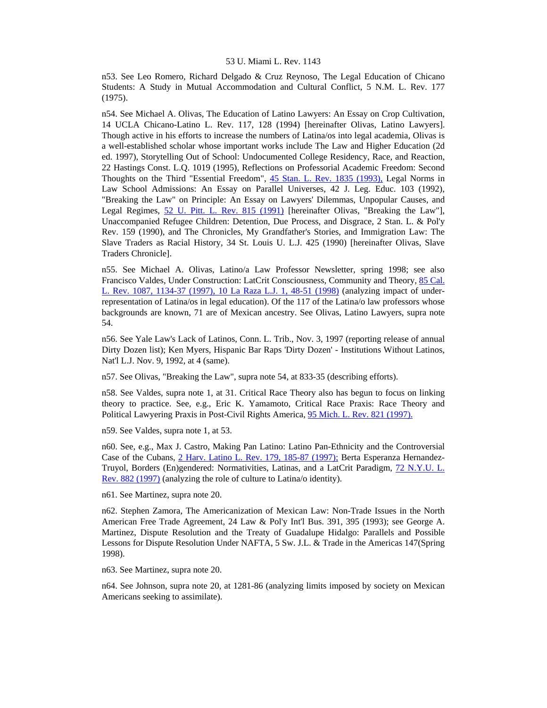n53. See Leo Romero, Richard Delgado & Cruz Reynoso, The Legal Education of Chicano Students: A Study in Mutual Accommodation and Cultural Conflict, 5 N.M. L. Rev. 177 (1975).

n54. See Michael A. Olivas, The Education of Latino Lawyers: An Essay on Crop Cultivation, 14 UCLA Chicano-Latino L. Rev. 117, 128 (1994) [hereinafter Olivas, Latino Lawyers]. Though active in his efforts to increase the numbers of Latina/os into legal academia, Olivas is a well-established scholar whose important works include The Law and Higher Education (2d ed. 1997), Storytelling Out of School: Undocumented College Residency, Race, and Reaction, 22 Hastings Const. L.Q. 1019 (1995), Reflections on Professorial Academic Freedom: Second Thoughts on the Third "Essential Freedom", [45 Stan. L. Rev. 1835 \(1993\),](http://www.lexis.com/research/xlink?searchtype=get&search=45%20Stan.%20L.%20Rev.%201835) Legal Norms in Law School Admissions: An Essay on Parallel Universes, 42 J. Leg. Educ. 103 (1992), "Breaking the Law" on Principle: An Essay on Lawyers' Dilemmas, Unpopular Causes, and Legal Regimes, [52 U. Pitt. L. Rev. 815 \(1991\)](http://www.lexis.com/research/xlink?searchtype=get&search=52%20U.%20Pitt.%20L.%20Rev.%20815) [hereinafter Olivas, "Breaking the Law"], Unaccompanied Refugee Children: Detention, Due Process, and Disgrace, 2 Stan. L. & Pol'y Rev. 159 (1990), and The Chronicles, My Grandfather's Stories, and Immigration Law: The Slave Traders as Racial History, 34 St. Louis U. L.J. 425 (1990) [hereinafter Olivas, Slave Traders Chronicle].

n55. See Michael A. Olivas, Latino/a Law Professor Newsletter, spring 1998; see also Francisco Valdes, Under Construction: LatCrit Consciousness, Community and Theory, [85 Cal.](http://www.lexis.com/research/xlink?searchtype=get&search=85%20Calif.%20L.%20Rev.%201087,at%201134)  [L. Rev. 1087, 1134-37 \(1997\), 10 La Raza L.J. 1, 48-51 \(1998\)](http://www.lexis.com/research/xlink?searchtype=get&search=85%20Calif.%20L.%20Rev.%201087,at%201134) (analyzing impact of underrepresentation of Latina/os in legal education). Of the 117 of the Latina/o law professors whose backgrounds are known, 71 are of Mexican ancestry. See Olivas, Latino Lawyers, supra note 54.

n56. See Yale Law's Lack of Latinos, Conn. L. Trib., Nov. 3, 1997 (reporting release of annual Dirty Dozen list); Ken Myers, Hispanic Bar Raps 'Dirty Dozen' - Institutions Without Latinos, Nat'l L.J. Nov. 9, 1992, at 4 (same).

n57. See Olivas, "Breaking the Law", supra note 54, at 833-35 (describing efforts).

n58. See Valdes, supra note 1, at 31. Critical Race Theory also has begun to focus on linking theory to practice. See, e.g., Eric K. Yamamoto, Critical Race Praxis: Race Theory and Political Lawyering Praxis in Post-Civil Rights America, [95 Mich. L. Rev. 821 \(1997\).](http://www.lexis.com/research/xlink?searchtype=get&search=95%20Mich.%20L.%20Rev.%20821)

n59. See Valdes, supra note 1, at 53.

n60. See, e.g., Max J. Castro, Making Pan Latino: Latino Pan-Ethnicity and the Controversial Case of the Cubans, [2 Harv. Latino L. Rev. 179, 185-87 \(1997\);](http://www.lexis.com/research/xlink?searchtype=get&search=2%20Harv.%20Latino%20L.%20Rev.%20179,at%20185) Berta Esperanza Hernandez-Truyol, Borders (En)gendered: Normativities, Latinas, and a LatCrit Paradigm, [72 N.Y.U. L.](http://www.lexis.com/research/xlink?searchtype=get&search=72%20N.Y.U.L.%20Rev.%20882)  [Rev. 882 \(1997\)](http://www.lexis.com/research/xlink?searchtype=get&search=72%20N.Y.U.L.%20Rev.%20882) (analyzing the role of culture to Latina/o identity).

n61. See Martinez, supra note 20.

n62. Stephen Zamora, The Americanization of Mexican Law: Non-Trade Issues in the North American Free Trade Agreement, 24 Law & Pol'y Int'l Bus. 391, 395 (1993); see George A. Martinez, Dispute Resolution and the Treaty of Guadalupe Hidalgo: Parallels and Possible Lessons for Dispute Resolution Under NAFTA, 5 Sw. J.L. & Trade in the Americas 147(Spring 1998).

n63. See Martinez, supra note 20.

n64. See Johnson, supra note 20, at 1281-86 (analyzing limits imposed by society on Mexican Americans seeking to assimilate).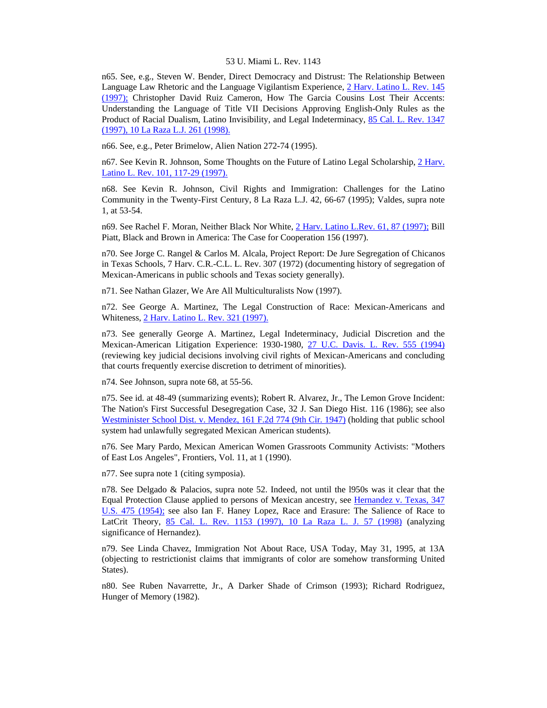n65. See, e.g., Steven W. Bender, Direct Democracy and Distrust: The Relationship Between Language Law Rhetoric and the Language Vigilantism Experience, [2 Harv. Latino L. Rev. 145](http://www.lexis.com/research/xlink?searchtype=get&search=2%20Harv.%20Latino%20L.%20Rev.%20145)  [\(1997\);](http://www.lexis.com/research/xlink?searchtype=get&search=2%20Harv.%20Latino%20L.%20Rev.%20145) Christopher David Ruiz Cameron, How The Garcia Cousins Lost Their Accents: Understanding the Language of Title VII Decisions Approving English-Only Rules as the Product of Racial Dualism, Latino Invisibility, and Legal Indeterminacy, [85 Cal. L. Rev. 1347](http://www.lexis.com/research/xlink?searchtype=get&search=85%20Calif.%20L.%20Rev.%201347)  [\(1997\), 10 La Raza L.J. 261 \(1998\).](http://www.lexis.com/research/xlink?searchtype=get&search=85%20Calif.%20L.%20Rev.%201347)

n66. See, e.g., Peter Brimelow, Alien Nation 272-74 (1995).

n67. See Kevin R. Johnson, Some Thoughts on the Future of Latino Legal Scholarship, 2 Harv. [Latino L. Rev. 101, 117-29 \(1997\).](http://www.lexis.com/research/xlink?searchtype=get&search=2%20Harv.%20Latino%20L.%20Rev.%20101,at%20117)

n68. See Kevin R. Johnson, Civil Rights and Immigration: Challenges for the Latino Community in the Twenty-First Century, 8 La Raza L.J. 42, 66-67 (1995); Valdes, supra note 1, at 53-54.

n69. See Rachel F. Moran, Neither Black Nor White, [2 Harv. Latino L.Rev. 61, 87 \(1997\);](http://www.lexis.com/research/xlink?searchtype=get&search=2%20Harv.%20Latino%20L.%20Rev.%2061,at%2087) Bill Piatt, Black and Brown in America: The Case for Cooperation 156 (1997).

n70. See Jorge C. Rangel & Carlos M. Alcala, Project Report: De Jure Segregation of Chicanos in Texas Schools, 7 Harv. C.R.-C.L. L. Rev. 307 (1972) (documenting history of segregation of Mexican-Americans in public schools and Texas society generally).

n71. See Nathan Glazer, We Are All Multiculturalists Now (1997).

n72. See George A. Martinez, The Legal Construction of Race: Mexican-Americans and Whiteness, [2 Harv. Latino L. Rev. 321 \(1997\).](http://www.lexis.com/research/xlink?searchtype=get&search=2%20Harv.%20Latino%20L.%20Rev.%20321)

n73. See generally George A. Martinez, Legal Indeterminacy, Judicial Discretion and the Mexican-American Litigation Experience: 1930-1980, [27 U.C. Davis. L. Rev. 555 \(1994\)](http://www.lexis.com/research/xlink?searchtype=get&search=27%20U.C.%20Davis%20L.%20Rev.%20555) (reviewing key judicial decisions involving civil rights of Mexican-Americans and concluding that courts frequently exercise discretion to detriment of minorities).

n74. See Johnson, supra note 68, at 55-56.

n75. See id. at 48-49 (summarizing events); Robert R. Alvarez, Jr., The Lemon Grove Incident: The Nation's First Successful Desegregation Case, 32 J. San Diego Hist. 116 (1986); see also [Westminister School Dist. v. Mendez, 161 F.2d 774 \(9th Cir. 1947\)](http://www.lexis.com/research/xlink?searchtype=get&search=161%20F.2d%20774) (holding that public school system had unlawfully segregated Mexican American students).

n76. See Mary Pardo, Mexican American Women Grassroots Community Activists: "Mothers of East Los Angeles", Frontiers, Vol. 11, at 1 (1990).

n77. See supra note 1 (citing symposia).

n78. See Delgado & Palacios, supra note 52. Indeed, not until the l950s was it clear that the Equal Protection Clause applied to persons of Mexican ancestry, see [Hernandez v. Texas, 347](http://www.lexis.com/research/xlink?searchtype=get&search=347%20U.S.%20475)  [U.S. 475 \(1954\);](http://www.lexis.com/research/xlink?searchtype=get&search=347%20U.S.%20475) see also Ian F. Haney Lopez, Race and Erasure: The Salience of Race to LatCrit Theory, [85 Cal. L. Rev. 1153 \(1997\), 10 La Raza L. J. 57 \(1998\)](http://www.lexis.com/research/xlink?searchtype=get&search=85%20Calif.%20L.%20Rev.%201153) (analyzing significance of Hernandez).

n79. See Linda Chavez, Immigration Not About Race, USA Today, May 31, 1995, at 13A (objecting to restrictionist claims that immigrants of color are somehow transforming United States).

n80. See Ruben Navarrette, Jr., A Darker Shade of Crimson (1993); Richard Rodriguez, Hunger of Memory (1982).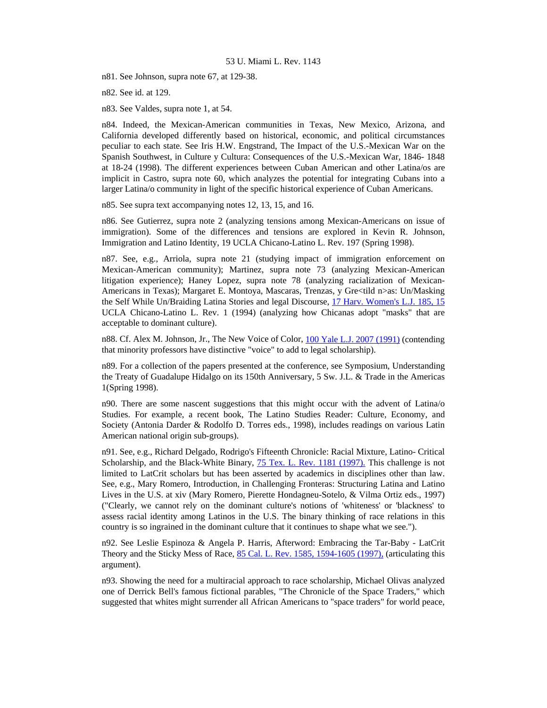n81. See Johnson, supra note 67, at 129-38.

n82. See id. at 129.

n83. See Valdes, supra note 1, at 54.

n84. Indeed, the Mexican-American communities in Texas, New Mexico, Arizona, and California developed differently based on historical, economic, and political circumstances peculiar to each state. See Iris H.W. Engstrand, The Impact of the U.S.-Mexican War on the Spanish Southwest, in Culture y Cultura: Consequences of the U.S.-Mexican War, 1846- 1848 at 18-24 (1998). The different experiences between Cuban American and other Latina/os are implicit in Castro, supra note 60, which analyzes the potential for integrating Cubans into a larger Latina/o community in light of the specific historical experience of Cuban Americans.

n85. See supra text accompanying notes 12, 13, 15, and 16.

n86. See Gutierrez, supra note 2 (analyzing tensions among Mexican-Americans on issue of immigration). Some of the differences and tensions are explored in Kevin R. Johnson, Immigration and Latino Identity, 19 UCLA Chicano-Latino L. Rev. 197 (Spring 1998).

n87. See, e.g., Arriola, supra note 21 (studying impact of immigration enforcement on Mexican-American community); Martinez, supra note 73 (analyzing Mexican-American litigation experience); Haney Lopez, supra note 78 (analyzing racialization of Mexican-Americans in Texas); Margaret E. Montoya, Mascaras, Trenzas, y Gre<tild n>as: Un/Masking the Self While Un/Braiding Latina Stories and legal Discourse, [17 Harv. Women's L.J. 185, 15](http://www.lexis.com/research/xlink?searchtype=get&search=17%20Harv.%20Women) UCLA Chicano-Latino L. Rev. 1 (1994) (analyzing how Chicanas adopt "masks" that are acceptable to dominant culture).

n88. Cf. Alex M. Johnson, Jr., The New Voice of Color, [100 Yale L.J. 2007 \(1991\)](http://www.lexis.com/research/xlink?searchtype=get&search=100%20Yale%20L.J.%202007) (contending that minority professors have distinctive "voice" to add to legal scholarship).

n89. For a collection of the papers presented at the conference, see Symposium, Understanding the Treaty of Guadalupe Hidalgo on its 150th Anniversary, 5 Sw. J.L. & Trade in the Americas 1(Spring 1998).

n90. There are some nascent suggestions that this might occur with the advent of Latina/o Studies. For example, a recent book, The Latino Studies Reader: Culture, Economy, and Society (Antonia Darder & Rodolfo D. Torres eds., 1998), includes readings on various Latin American national origin sub-groups).

n91. See, e.g., Richard Delgado, Rodrigo's Fifteenth Chronicle: Racial Mixture, Latino- Critical Scholarship, and the Black-White Binary, [75 Tex. L. Rev. 1181 \(1997\).](http://www.lexis.com/research/xlink?searchtype=get&search=75%20Tex.%20L.%20Rev.%201181) This challenge is not limited to LatCrit scholars but has been asserted by academics in disciplines other than law. See, e.g., Mary Romero, Introduction, in Challenging Fronteras: Structuring Latina and Latino Lives in the U.S. at xiv (Mary Romero, Pierette Hondagneu-Sotelo, & Vilma Ortiz eds., 1997) ("Clearly, we cannot rely on the dominant culture's notions of 'whiteness' or 'blackness' to assess racial identity among Latinos in the U.S. The binary thinking of race relations in this country is so ingrained in the dominant culture that it continues to shape what we see.").

n92. See Leslie Espinoza & Angela P. Harris, Afterword: Embracing the Tar-Baby - LatCrit Theory and the Sticky Mess of Race, [85 Cal. L. Rev. 1585, 1594-1605 \(1997\),](http://www.lexis.com/research/xlink?searchtype=get&search=85%20Calif.%20L.%20Rev.%201585,at%201594) (articulating this argument).

n93. Showing the need for a multiracial approach to race scholarship, Michael Olivas analyzed one of Derrick Bell's famous fictional parables, "The Chronicle of the Space Traders," which suggested that whites might surrender all African Americans to "space traders" for world peace,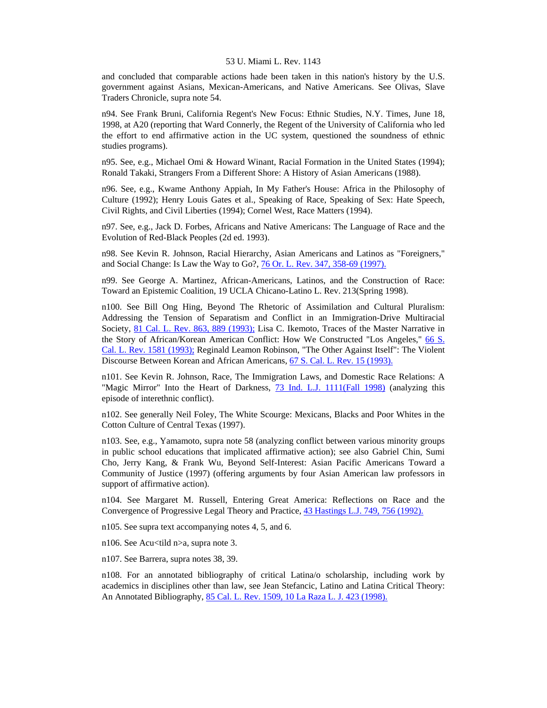and concluded that comparable actions hade been taken in this nation's history by the U.S. government against Asians, Mexican-Americans, and Native Americans. See Olivas, Slave Traders Chronicle, supra note 54.

n94. See Frank Bruni, California Regent's New Focus: Ethnic Studies, N.Y. Times, June 18, 1998, at A20 (reporting that Ward Connerly, the Regent of the University of California who led the effort to end affirmative action in the UC system, questioned the soundness of ethnic studies programs).

n95. See, e.g., Michael Omi & Howard Winant, Racial Formation in the United States (1994); Ronald Takaki, Strangers From a Different Shore: A History of Asian Americans (1988).

n96. See, e.g., Kwame Anthony Appiah, In My Father's House: Africa in the Philosophy of Culture (1992); Henry Louis Gates et al., Speaking of Race, Speaking of Sex: Hate Speech, Civil Rights, and Civil Liberties (1994); Cornel West, Race Matters (1994).

n97. See, e.g., Jack D. Forbes, Africans and Native Americans: The Language of Race and the Evolution of Red-Black Peoples (2d ed. 1993).

n98. See Kevin R. Johnson, Racial Hierarchy, Asian Americans and Latinos as "Foreigners," and Social Change: Is Law the Way to Go?, [76 Or. L. Rev. 347, 358-69 \(1997\).](http://www.lexis.com/research/xlink?searchtype=get&search=76%20Or.%20L.%20Rev.%20347,at%20358)

n99. See George A. Martinez, African-Americans, Latinos, and the Construction of Race: Toward an Epistemic Coalition, 19 UCLA Chicano-Latino L. Rev. 213(Spring 1998).

n100. See Bill Ong Hing, Beyond The Rhetoric of Assimilation and Cultural Pluralism: Addressing the Tension of Separatism and Conflict in an Immigration-Drive Multiracial Society, [81 Cal. L. Rev. 863, 889 \(1993\);](http://www.lexis.com/research/xlink?searchtype=get&search=81%20Calif.%20L.%20Rev.%20863,at%20889) Lisa C. Ikemoto, Traces of the Master Narrative in the Story of African/Korean American Conflict: How We Constructed "Los Angeles," [66 S.](http://www.lexis.com/research/xlink?searchtype=get&search=66%20S.%20Cal.%20L.%20Rev.%201581)  [Cal. L. Rev. 1581 \(1993\);](http://www.lexis.com/research/xlink?searchtype=get&search=66%20S.%20Cal.%20L.%20Rev.%201581) Reginald Leamon Robinson, "The Other Against Itself": The Violent Discourse Between Korean and African Americans, [67 S. Cal. L. Rev. 15 \(1993\).](http://www.lexis.com/research/xlink?searchtype=get&search=67%20S.%20Cal.%20L.%20Rev.%2015)

n101. See Kevin R. Johnson, Race, The Immigration Laws, and Domestic Race Relations: A "Magic Mirror" Into the Heart of Darkness, [73 Ind. L.J. 1111\(Fall 1998\)](http://www.lexis.com/research/xlink?searchtype=get&search=73%20Ind.%20L.J.%201111) (analyzing this episode of interethnic conflict).

n102. See generally Neil Foley, The White Scourge: Mexicans, Blacks and Poor Whites in the Cotton Culture of Central Texas (1997).

n103. See, e.g., Yamamoto, supra note 58 (analyzing conflict between various minority groups in public school educations that implicated affirmative action); see also Gabriel Chin, Sumi Cho, Jerry Kang, & Frank Wu, Beyond Self-Interest: Asian Pacific Americans Toward a Community of Justice (1997) (offering arguments by four Asian American law professors in support of affirmative action).

n104. See Margaret M. Russell, Entering Great America: Reflections on Race and the Convergence of Progressive Legal Theory and Practice, [43 Hastings L.J. 749, 756 \(1992\).](http://www.lexis.com/research/xlink?searchtype=get&search=43%20Hastings%20L.J.%20749,at%20756)

n105. See supra text accompanying notes 4, 5, and 6.

n106. See Acu<tild n>a, supra note 3.

n107. See Barrera, supra notes 38, 39.

n108. For an annotated bibliography of critical Latina/o scholarship, including work by academics in disciplines other than law, see Jean Stefancic, Latino and Latina Critical Theory: An Annotated Bibliography, [85 Cal. L. Rev. 1509, 10 La Raza L. J. 423 \(1998\).](http://www.lexis.com/research/xlink?searchtype=get&search=85%20Calif.%20L.%20Rev.%201509)